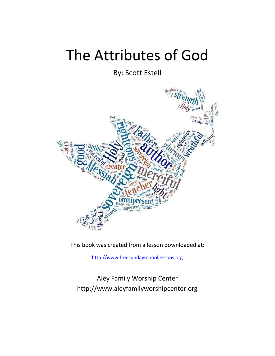# The Attributes of God

By: Scott Estell



This book was created from a lesson downloaded at:

[http://www.freesundayschoollessons.org](http://www.freesundayschoollessons.org/) 

Aley Family Worship Center http://www.aleyfamilyworshipcenter.org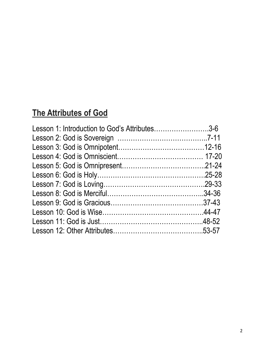# **The Attributes of God**

| Lesson 1: Introduction to God's Attributes3-6 |  |
|-----------------------------------------------|--|
|                                               |  |
|                                               |  |
|                                               |  |
|                                               |  |
|                                               |  |
|                                               |  |
|                                               |  |
|                                               |  |
|                                               |  |
|                                               |  |
|                                               |  |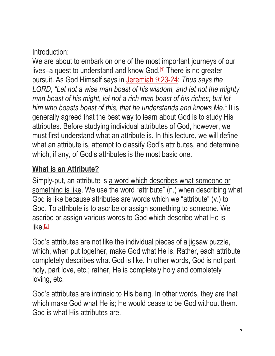### Introduction:

We are about to embark on one of the most important journeys of our lives–a quest to understand and know God.<sup>[\[1\]](http://www.freesundayschoollessons.org/systematic-theology/the-attributes-of-god-lesson-1-introduction-to-gods-attributes/#_ftn1)</sup> There is no greater pursuit. As God Himself says in [Jeremiah 9:23-24:](https://biblia.com/bible/esv/Jer%209.23-24) *Thus says the LORD, "Let not a wise man boast of his wisdom, and let not the mighty man boast of his might, let not a rich man boast of his riches; but let him who boasts boast of this, that he understands and knows Me."* It is generally agreed that the best way to learn about God is to study His attributes. Before studying individual attributes of God, however, we must first understand what an attribute is. In this lecture, we will define what an attribute is, attempt to classify God's attributes, and determine which, if any, of God's attributes is the most basic one.

# **What is an Attribute?**

Simply-put, an attribute is a word which describes what someone or something is like. We use the word "attribute" (n.) when describing what God is like because attributes are words which we "attribute" (v.) to God. To attribute is to ascribe or assign something to someone. We ascribe or assign various words to God which describe what He is  $like. [2]$  $like. [2]$ 

God's attributes are not like the individual pieces of a jigsaw puzzle, which, when put together, make God what He is. Rather, each attribute completely describes what God is like. In other words, God is not part holy, part love, etc.; rather, He is completely holy and completely loving, etc.

God's attributes are intrinsic to His being. In other words, they are that which make God what He is; He would cease to be God without them. God is what His attributes are.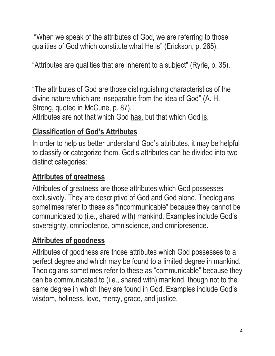"When we speak of the attributes of God, we are referring to those qualities of God which constitute what He is" (Erickson, p. 265).

"Attributes are qualities that are inherent to a subject" (Ryrie, p. 35).

"The attributes of God are those distinguishing characteristics of the divine nature which are inseparable from the idea of God" (A. H. Strong, quoted in McCune, p. 87).

Attributes are not that which God has, but that which God is.

# **Classification of God's Attributes**

In order to help us better understand God's attributes, it may be helpful to classify or categorize them. God's attributes can be divided into two distinct categories:

# **Attributes of greatness**

Attributes of greatness are those attributes which God possesses exclusively. They are descriptive of God and God alone. Theologians sometimes refer to these as "incommunicable" because they cannot be communicated to (i.e., shared with) mankind. Examples include God's sovereignty, omnipotence, omniscience, and omnipresence.

# **Attributes of goodness**

Attributes of goodness are those attributes which God possesses to a perfect degree and which may be found to a limited degree in mankind. Theologians sometimes refer to these as "communicable" because they can be communicated to (i.e., shared with) mankind, though not to the same degree in which they are found in God. Examples include God's wisdom, holiness, love, mercy, grace, and justice.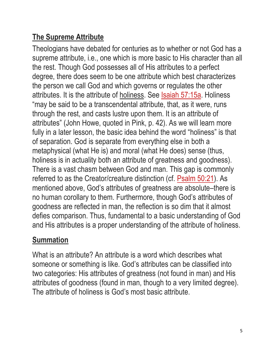# **The Supreme Attribute**

Theologians have debated for centuries as to whether or not God has a supreme attribute, i.e., one which is more basic to His character than all the rest. Though God possesses all of His attributes to a perfect degree, there does seem to be one attribute which best characterizes the person we call God and which governs or regulates the other attributes. It is the attribute of holiness. See [Isaiah 57:15a.](https://biblia.com/bible/esv/Isa%2057.15a) Holiness "may be said to be a transcendental attribute, that, as it were, runs through the rest, and casts lustre upon them. It is an attribute of attributes" (John Howe, quoted in Pink, p. 42). As we will learn more fully in a later lesson, the basic idea behind the word "holiness" is that of separation. God is separate from everything else in both a metaphysical (what He is) and moral (what He does) sense (thus, holiness is in actuality both an attribute of greatness and goodness). There is a vast chasm between God and man. This gap is commonly referred to as the Creator/creature distinction (cf. [Psalm 50:21\)](https://biblia.com/bible/esv/Ps%2050.21). As mentioned above, God's attributes of greatness are absolute–there is no human corollary to them. Furthermore, though God's attributes of goodness are reflected in man, the reflection is so dim that it almost defies comparison. Thus, fundamental to a basic understanding of God and His attributes is a proper understanding of the attribute of holiness.

# **Summation**

What is an attribute? An attribute is a word which describes what someone or something is like. God's attributes can be classified into two categories: His attributes of greatness (not found in man) and His attributes of goodness (found in man, though to a very limited degree). The attribute of holiness is God's most basic attribute.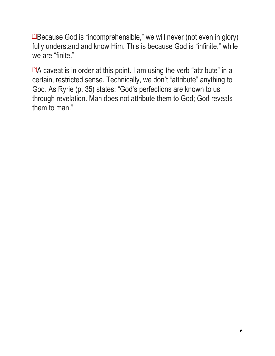[\[1\]](http://www.freesundayschoollessons.org/systematic-theology/the-attributes-of-god-lesson-1-introduction-to-gods-attributes/#_ftnref1)Because God is "incomprehensible," we will never (not even in glory) fully understand and know Him. This is because God is "infinite," while we are "finite."

[\[2\]](http://www.freesundayschoollessons.org/systematic-theology/the-attributes-of-god-lesson-1-introduction-to-gods-attributes/#_ftnref2)A caveat is in order at this point. I am using the verb "attribute" in a certain, restricted sense. Technically, we don't "attribute" anything to God. As Ryrie (p. 35) states: "God's perfections are known to us through revelation. Man does not attribute them to God; God reveals them to man."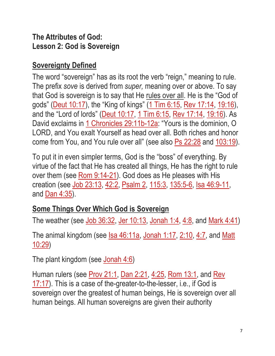#### **The Attributes of God: Lesson 2: God is Sovereign**

### **Sovereignty Defined**

The word "sovereign" has as its root the verb "reign," meaning to rule. The prefix *sove* is derived from *super,* meaning over or above. To say that God is sovereign is to say that He rules over all. He is the "God of gods" [\(Deut 10:17\)](https://biblia.com/bible/esv/Deut%2010.17), the "King of kings" [\(1 Tim 6:15,](https://biblia.com/bible/esv/1%20Tim%206.15) [Rev 17:14,](https://biblia.com/bible/esv/Rev%2017.14) [19:16\)](https://biblia.com/bible/esv/Rev%2019.16), and the "Lord of lords" [\(Deut 10:17,](https://biblia.com/bible/esv/Deut%2010.17) [1 Tim 6:15,](https://biblia.com/bible/esv/1%20Tim%206.15) [Rev 17:14,](https://biblia.com/bible/esv/Rev%2017.14) [19:16\)](https://biblia.com/bible/esv/Rev%2019.16). As David exclaims in [1 Chronicles 29:11b-12a:](https://biblia.com/bible/esv/1%20Chron%2029.11b-12a) "Yours is the dominion, O LORD, and You exalt Yourself as head over all. Both riches and honor come from You, and You rule over all" (see also [Ps 22:28](https://biblia.com/bible/esv/Ps%2022.28) and [103:19\)](https://biblia.com/bible/esv/Ps%20103.19).

To put it in even simpler terms, God is the "boss" of everything. By virtue of the fact that He has created all things, He has the right to rule over them (see [Rom 9:14-21\)](https://biblia.com/bible/esv/Rom%209.14-21). God does as He pleases with His creation (see [Job 23:13,](https://biblia.com/bible/esv/Job%2023.13) [42:2,](https://biblia.com/bible/esv/Job%2042.2) [Psalm 2,](https://biblia.com/bible/esv/Ps%202) [115:3,](https://biblia.com/bible/esv/Psalm%20115.3) [135:5-6,](https://biblia.com/bible/esv/Psalm%20135.5-6) [Isa 46:9-11,](https://biblia.com/bible/esv/Isa%2046.9-11) and [Dan 4:35\)](https://biblia.com/bible/esv/Dan%204.35).

# **Some Things Over Which God is Sovereign**

The weather (see [Job 36:32,](https://biblia.com/bible/esv/Job%2036.32) [Jer 10:13,](https://biblia.com/bible/esv/Jer%2010.13) [Jonah 1:4,](https://biblia.com/bible/esv/Jonah%201.4) [4:8,](https://biblia.com/bible/esv/Jonah%204.8) and [Mark 4:41\)](https://biblia.com/bible/esv/Mark%204.41)

The animal kingdom (see  $\text{Isa } 46:11a$ , [Jonah 1:17,](https://biblia.com/bible/esv/Jonah%201.17) [2:10,](https://biblia.com/bible/esv/Jonah%202.10) [4:7,](https://biblia.com/bible/esv/Jonah%204.7) and Matt [10:29\)](https://biblia.com/bible/esv/Matt%2010.29)

The plant kingdom (see [Jonah 4:6\)](https://biblia.com/bible/esv/Jonah%204.6)

Human rulers (see [Prov 21:1,](https://biblia.com/bible/esv/Prov%2021.1) [Dan 2:21,](https://biblia.com/bible/esv/Dan%202.21) [4:25,](https://biblia.com/bible/esv/Dan%204.25) [Rom 13:1,](https://biblia.com/bible/esv/Rom%2013.1) and [Rev](https://biblia.com/bible/esv/Rev%2017.17)  [17:17\)](https://biblia.com/bible/esv/Rev%2017.17). This is a case of the-greater-to-the-lesser, i.e., if God is sovereign over the greatest of human beings, He is sovereign over all human beings. All human sovereigns are given their authority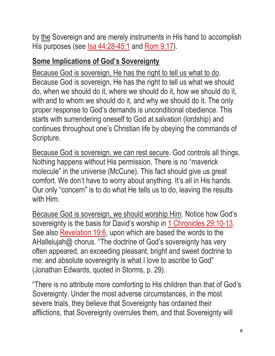by the Sovereign and are merely instruments in His hand to accomplish His purposes (see <u>Isa 44:28-45:1</u> and [Rom 9:17\)](https://biblia.com/bible/esv/Rom%209.17).

### **Some Implications of God's Sovereignty**

Because God is sovereign, He has the right to tell us what to do. Because God is sovereign, He has the right to tell us what we should do, when we should do it, where we should do it, how we should do it, with and to whom we should do it, and why we should do it. The only proper response to God's demands is unconditional obedience. This starts with surrendering oneself to God at salvation (lordship) and continues throughout one's Christian life by obeying the commands of Scripture.

Because God is sovereign, we can rest secure. God controls all things. Nothing happens without His permission. There is no "maverick molecule" in the universe (McCune). This fact should give us great comfort. We don't have to worry about anything. It's all in His hands. Our only "concern" is to do what He tells us to do, leaving the results with Him.

Because God is sovereign, we should worship Him. Notice how God's sovereignty is the basis for David's worship in [1 Chronicles 29:10-13.](https://biblia.com/bible/esv/1%20Chron%2029.10-13) See also [Revelation 19:6,](https://biblia.com/bible/esv/Rev%2019.6) upon which are based the words to the AHallelujah@ chorus. "The doctrine of God's sovereignty has very often appeared, an exceeding pleasant, bright and sweet doctrine to me: and absolute sovereignty is what I love to ascribe to God" (Jonathan Edwards, quoted in Storms, p. 29).

"There is no attribute more comforting to His children than that of God's Sovereignty. Under the most adverse circumstances, in the most severe trials, they believe that Sovereignty has ordained their afflictions, that Sovereignty overrules them, and that Sovereignty will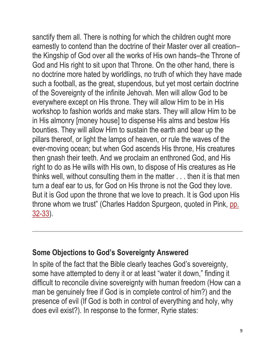sanctify them all. There is nothing for which the children ought more earnestly to contend than the doctrine of their Master over all creation– the Kingship of God over all the works of His own hands–the Throne of God and His right to sit upon that Throne. On the other hand, there is no doctrine more hated by worldlings, no truth of which they have made such a football, as the great, stupendous, but yet most certain doctrine of the Sovereignty of the infinite Jehovah. Men will allow God to be everywhere except on His throne. They will allow Him to be in His workshop to fashion worlds and make stars. They will allow Him to be in His almonry [money house] to dispense His alms and bestow His bounties. They will allow Him to sustain the earth and bear up the pillars thereof, or light the lamps of heaven, or rule the waves of the ever-moving ocean; but when God ascends His throne, His creatures then gnash their teeth. And we proclaim an enthroned God, and His right to do as He wills with His own, to dispose of His creatures as He thinks well, without consulting them in the matter . . . then it is that men turn a deaf ear to us, for God on His throne is not the God they love. But it is God upon the throne that we love to preach. It is God upon His throne whom we trust" (Charles Haddon Spurgeon, quoted in Pink, [pp.](https://biblia.com/bible/esv/Phil.%2032-33)  [32-33\)](https://biblia.com/bible/esv/Phil.%2032-33).

#### **Some Objections to God's Sovereignty Answered**

In spite of the fact that the Bible clearly teaches God's sovereignty, some have attempted to deny it or at least "water it down," finding it difficult to reconcile divine sovereignty with human freedom (How can a man be genuinely free if God is in complete control of him?) and the presence of evil (If God is both in control of everything and holy, why does evil exist?). In response to the former, Ryrie states: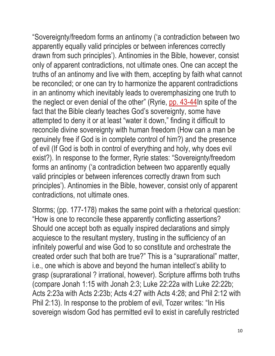"Sovereignty/freedom forms an antinomy ('a contradiction between two apparently equally valid principles or between inferences correctly drawn from such principles'). Antinomies in the Bible, however, consist only of apparent contradictions, not ultimate ones. One can accept the truths of an antinomy and live with them, accepting by faith what cannot be reconciled; or one can try to harmonize the apparent contradictions in an antinomy which inevitably leads to overemphasizing one truth to the neglect or even denial of the other" (Ryrie, [pp. 43-44I](https://biblia.com/bible/esv/Phil.%2043-44)n spite of the fact that the Bible clearly teaches God's sovereignty, some have attempted to deny it or at least "water it down," finding it difficult to reconcile divine sovereignty with human freedom (How can a man be genuinely free if God is in complete control of him?) and the presence of evil (If God is both in control of everything and holy, why does evil exist?). In response to the former, Ryrie states: "Sovereignty/freedom forms an antinomy ('a contradiction between two apparently equally valid principles or between inferences correctly drawn from such principles'). Antinomies in the Bible, however, consist only of apparent contradictions, not ultimate ones.

Storms; (pp. 177-178) makes the same point with a rhetorical question: "How is one to reconcile these apparently conflicting assertions? Should one accept both as equally inspired declarations and simply acquiesce to the resultant mystery, trusting in the sufficiency of an infinitely powerful and wise God to so constitute and orchestrate the created order such that both are true?" This is a "suprarational" matter, i.e., one which is above and beyond the human intellect's ability to grasp (suprarational ? irrational, however). Scripture affirms both truths (compare Jonah 1:15 with Jonah 2:3; Luke 22:22a with Luke 22:22b; Acts 2:23a with Acts 2:23b; Acts 4:27 with Acts 4:28; and Phil 2:12 with Phil 2:13). In response to the problem of evil, Tozer writes: "In His sovereign wisdom God has permitted evil to exist in carefully restricted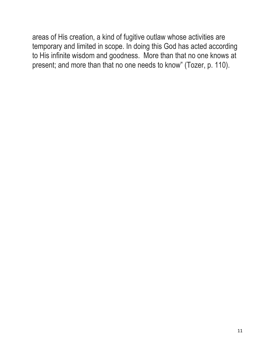areas of His creation, a kind of fugitive outlaw whose activities are temporary and limited in scope. In doing this God has acted according to His infinite wisdom and goodness. More than that no one knows at present; and more than that no one needs to know" (Tozer, p. 110).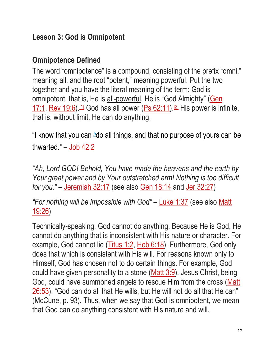### **Lesson 3: God is Omnipotent**

# **Omnipotence Defined**

The word "omnipotence" is a compound, consisting of the prefix "omni," meaning all, and the root "potent," meaning powerful. Put the two together and you have the literal meaning of the term: God is omnipotent, that is, He is all-powerful. He is "God Almighty" (Gen [17:1,](https://biblia.com/bible/esv/Gen%2017.1) [Rev 19:6\)](https://biblia.com/bible/esv/Rev%2019.6). [\[1\]](http://www.freesundayschoollessons.org/systematic-theology/attributes-of-god-lesson-3-god-is-omnipotent/#_ftn1) God has all power [\(Ps 62:11\)](https://biblia.com/bible/esv/Ps%2062.11). [\[2\]](http://www.freesundayschoollessons.org/systematic-theology/attributes-of-god-lesson-3-god-is-omnipotent/#_ftn2) His power is infinite, that is, without limit. He can do anything.

"I know that you can *[h](https://biblia.com/bible/esv/Job%2042.2#footnote1)*do all things, and that no purpose of yours can be thwarted.*"* – [Job 42:2](https://biblia.com/bible/esv/Job%2042.2) 

*"Ah, Lord GOD! Behold, You have made the heavens and the earth by Your great power and by Your outstretched arm! Nothing is too difficult for you."* – [Jeremiah 32:17](https://biblia.com/bible/esv/Jer%2032.17) (see also [Gen 18:14](https://biblia.com/bible/esv/Gen%2018.14) and [Jer 32:27\)](https://biblia.com/bible/esv/Jer%2032.27)

*"For nothing will be impossible with God"* – [Luke 1:37](https://biblia.com/bible/esv/Luke%201.37) (see also [Matt](https://biblia.com/bible/esv/Matt%2019.26)  [19:26\)](https://biblia.com/bible/esv/Matt%2019.26)

Technically-speaking, God cannot do anything. Because He is God, He cannot do anything that is inconsistent with His nature or character. For example, God cannot lie [\(Titus 1:2,](https://biblia.com/bible/esv/Titus%201.2) [Heb 6:18\)](https://biblia.com/bible/esv/Heb%206.18). Furthermore, God only does that which is consistent with His will. For reasons known only to Himself, God has chosen not to do certain things. For example, God could have given personality to a stone [\(Matt 3:9\)](https://biblia.com/bible/esv/Matt%203.9). Jesus Christ, being God, could have summoned angels to rescue Him from the cross [\(Matt](https://biblia.com/bible/esv/Matt%2026.53)  [26:53\)](https://biblia.com/bible/esv/Matt%2026.53). "God can do all that He wills, but He will not do all that He can" (McCune, p. 93). Thus, when we say that God is omnipotent, we mean that God can do anything consistent with His nature and will.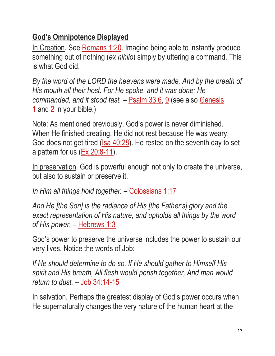# **God's Omnipotence Displayed**

In Creation. See [Romans 1:20.](https://biblia.com/bible/esv/Rom%201.20) Imagine being able to instantly produce something out of nothing (*ex nihilo*) simply by uttering a command. This is what God did.

*By the word of the LORD the heavens were made, And by the breath of His mouth all their host. For He spoke, and it was done; He commanded, and it stood fast.* – [Psalm 33:6,](https://biblia.com/bible/esv/Ps%2033.6) [9](https://biblia.com/bible/esv/Psalm%2033.9) (see also [Genesis](https://biblia.com/bible/esv/Gen%201)  [1](https://biblia.com/bible/esv/Gen%201) and [2](https://biblia.com/bible/esv/Genesis%202) in your bible.)

Note: As mentioned previously, God's power is never diminished. When He finished creating, He did not rest because He was weary. God does not get tired [\(Isa 40:28\)](https://biblia.com/bible/esv/Isa%2040.28). He rested on the seventh day to set a pattern for us [\(Ex 20:8-11\)](https://biblia.com/bible/esv/Exod%2020.8-11).

In preservation. God is powerful enough not only to create the universe, but also to sustain or preserve it.

*In Him all things hold together.* – [Colossians 1:17](https://biblia.com/bible/esv/Col%201.17)

*And He [the Son] is the radiance of His [the Father's] glory and the exact representation of His nature, and upholds all things by the word of His power.* – [Hebrews 1:3](https://biblia.com/bible/esv/Heb%201.3)

God's power to preserve the universe includes the power to sustain our very lives. Notice the words of Job:

*If He should determine to do so, If He should gather to Himself His spirit and His breath, All flesh would perish together, And man would return to dust.* – [Job 34:14-15](https://biblia.com/bible/esv/Job%2034.14-15)

In salvation. Perhaps the greatest display of God's power occurs when He supernaturally changes the very nature of the human heart at the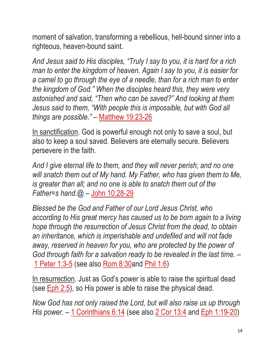moment of salvation, transforming a rebellious, hell-bound sinner into a righteous, heaven-bound saint.

*And Jesus said to His disciples, "Truly I say to you, it is hard for a rich man to enter the kingdom of heaven. Again I say to you, it is easier for a camel to go through the eye of a needle, than for a rich man to enter the kingdom of God." When the disciples heard this, they were very astonished and said, "Then who can be saved?" And looking at them Jesus said to them, "With people this is impossible, but with God all things are possible." –* [Matthew 19:23-26](https://biblia.com/bible/esv/Matt%2019.23-26)

In sanctification. God is powerful enough not only to save a soul, but also to keep a soul saved. Believers are eternally secure. Believers persevere in the faith.

*And I give eternal life to them, and they will never perish; and no one will snatch them out of My hand. My Father, who has given them to Me, is greater than all; and no one is able to snatch them out of the Father=s hand.@* – [John 10:28-29](https://biblia.com/bible/esv/John%2010.28-29)

*Blessed be the God and Father of our Lord Jesus Christ, who according to His great mercy has caused us to be born again to a living hope through the resurrection of Jesus Christ from the dead, to obtain an inheritance, which is imperishable and undefiled and will not fade away, reserved in heaven for you, who are protected by the power of God through faith for a salvation ready to be revealed in the last time.* – [1 Peter 1:3-5](https://biblia.com/bible/esv/1%20Pet%201.3-5) (see also [Rom 8:30a](https://biblia.com/bible/esv/Rom%208.30)nd [Phil 1:6\)](https://biblia.com/bible/esv/Phil%201.6)

In resurrection. Just as God's power is able to raise the spiritual dead (see **Eph 2:5**), so His power is able to raise the physical dead.

*Now God has not only raised the Lord, but will also raise us up through His power.* – [1 Corinthians 6:14](https://biblia.com/bible/esv/1%20Cor%206.14) (see also [2 Cor 13:4](https://biblia.com/bible/esv/2%20Cor%2013.4) and [Eph 1:19-20\)](https://biblia.com/bible/esv/Eph%201.19-20)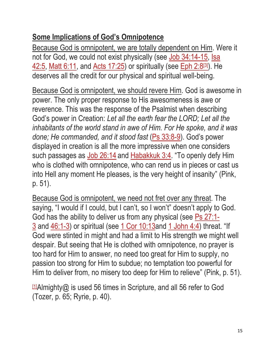# **Some Implications of God's Omnipotence**

Because God is omnipotent, we are totally dependent on Him. Were it not for God, we could not exist physically (see [Job 34:14-15,](https://biblia.com/bible/esv/Job%2034.14-15) Isa [42:5,](https://biblia.com/bible/esv/Isa%2042.5) [Matt 6:11,](https://biblia.com/bible/esv/Matt%206.11) and [Acts 17:25\)](https://biblia.com/bible/esv/Acts%2017.25) or spiritually (see [Eph 2:8](https://biblia.com/bible/esv/Eph%202.8)[\[3\]](https://biblia.com/bible/esv/Eph%202.8)). He deserves all the credit for our physical and spiritual well-being.

Because God is omnipotent, we should revere Him. God is awesome in power. The only proper response to His awesomeness is awe or reverence. This was the response of the Psalmist when describing God's power in Creation: *Let all the earth fear the LORD; Let all the inhabitants of the world stand in awe of Him. For He spoke, and it was done; He commanded, and it stood fast* [\(Ps 33:8-9\)](https://biblia.com/bible/esv/Ps%2033.8-9). God's power displayed in creation is all the more impressive when one considers such passages as [Job 26:14](https://biblia.com/bible/esv/Job%2026.14) and [Habakkuk 3:4.](https://biblia.com/bible/esv/Hab%203.4) "To openly defy Him who is clothed with omnipotence, who can rend us in pieces or cast us into Hell any moment He pleases, is the very height of insanity" (Pink, p. 51).

Because God is omnipotent, we need not fret over any threat. The saying, "I would if I could, but I can't, so I won't" doesn't apply to God. God has the ability to deliver us from any physical (see [Ps 27:1-](https://biblia.com/bible/esv/Ps%2027.1-3) [3](https://biblia.com/bible/esv/Ps%2027.1-3) and [46:1-3\)](https://biblia.com/bible/esv/Ps%2046.1-3) or spiritual (see [1 Cor 10:13a](https://biblia.com/bible/esv/1%20Cor%2010.13)nd [1 John 4:4\)](https://biblia.com/bible/esv/1%20John%204.4) threat. "If God were stinted in might and had a limit to His strength we might well despair. But seeing that He is clothed with omnipotence, no prayer is too hard for Him to answer, no need too great for Him to supply, no passion too strong for Him to subdue; no temptation too powerful for Him to deliver from, no misery too deep for Him to relieve" (Pink, p. 51).

 $11$ Almighty $@$  is used 56 times in Scripture, and all 56 refer to God (Tozer, p. 65; Ryrie, p. 40).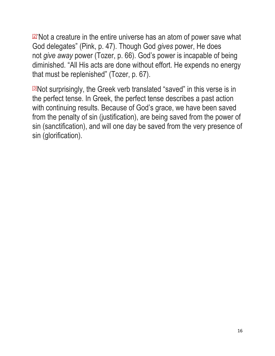$2^{\frac{2}{\pi}}$ Not a creature in the entire universe has an atom of power save what God delegates" (Pink, p. 47). Though God *gives* power, He does not *give away* power (Tozer, p. 66). God's power is incapable of being diminished. "All His acts are done without effort. He expends no energy that must be replenished" (Tozer, p. 67).

[\[3\]](http://www.freesundayschoollessons.org/systematic-theology/attributes-of-god-lesson-3-god-is-omnipotent/#_ftnref3)Not surprisingly, the Greek verb translated "saved" in this verse is in the perfect tense. In Greek, the perfect tense describes a past action with continuing results. Because of God's grace, we have been saved from the penalty of sin (justification), are being saved from the power of sin (sanctification), and will one day be saved from the very presence of sin (glorification).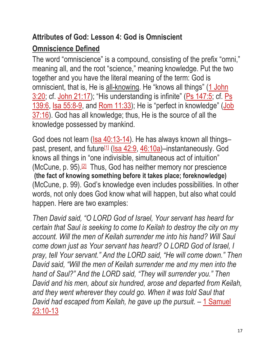# **Attributes of God: Lesson 4: God is Omniscient Omniscience Defined**

The word "omniscience" is a compound, consisting of the prefix "omni," meaning all, and the root "science," meaning knowledge. Put the two together and you have the literal meaning of the term: God is omniscient, that is, He is all-knowing. He "knows all things" (1 John [3:20;](https://biblia.com/bible/esv/1%20John%203.20) cf. [John 21:17\)](https://biblia.com/bible/esv/John%2021.17); "His understanding is infinite" [\(Ps 147:5;](https://biblia.com/bible/esv/Ps%20147.5) cf. Ps [139:6,](https://biblia.com/bible/esv/Ps%20139.6) [Isa 55:8-9,](https://biblia.com/bible/esv/Isa%2055.8-9) and [Rom 11:33\)](https://biblia.com/bible/esv/Rom%2011.33); He is "perfect in knowledge" [\(Job](https://biblia.com/bible/esv/Job%2037.16)  [37:16\)](https://biblia.com/bible/esv/Job%2037.16). God has all knowledge; thus, He is the source of all the knowledge possessed by mankind.

God does not learn [\(Isa 40:13-14\)](https://biblia.com/bible/esv/Isa%2040.13-14). He has always known all things-past, present, and future<sup>[\[1\]](http://www.freesundayschoollessons.org/systematic-theology/attributes-of-god-lesson-4-god-is-omniscient/#_ftn1)</sup> [\(Isa 42:9,](https://biblia.com/bible/esv/Isa%2042.9) [46:10a\)](https://biblia.com/bible/esv/Isa%2046.10a)–instantaneously. God knows all things in "one indivisible, simultaneous act of intuition" (McCune, p. 95).<sup>[\[2\]](http://www.freesundayschoollessons.org/systematic-theology/attributes-of-god-lesson-4-god-is-omniscient/#_ftn2)</sup> Thus, God has neither memory nor prescience **(the fact of knowing something before it takes place; foreknowledge)** (McCune, p. 99). God's knowledge even includes possibilities. In other words, not only does God know what will happen, but also what could happen. Here are two examples:

*Then David said, "O LORD God of Israel, Your servant has heard for certain that Saul is seeking to come to Keilah to destroy the city on my account. Will the men of Keilah surrender me into his hand? Will Saul come down just as Your servant has heard? O LORD God of Israel, I pray, tell Your servant." And the LORD said, "He will come down." Then David said, "Will the men of Keilah surrender me and my men into the hand of Saul?" And the LORD said, "They will surrender you." Then David and his men, about six hundred, arose and departed from Keilah, and they went wherever they could go. When it was told Saul that David had escaped from Keilah, he gave up the pursuit.* – [1 Samuel](https://biblia.com/bible/esv/1%20Sam%2023.10-13)  [23:10-13](https://biblia.com/bible/esv/1%20Sam%2023.10-13)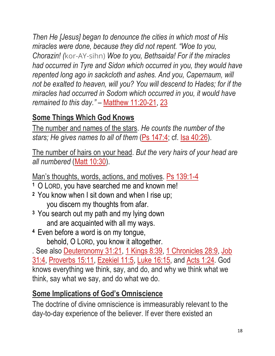*Then He [Jesus] began to denounce the cities in which most of His miracles were done, because they did not repent. "Woe to you, Chorazin! (*kor-AY-sihn) *Woe to you, Bethsaida! For if the miracles had occurred in Tyre and Sidon which occurred in you, they would have repented long ago in sackcloth and ashes. And you, Capernaum, will not be exalted to heaven, will you? You will descend to Hades; for if the miracles had occurred in Sodom which occurred in you, it would have remained to this day."* – [Matthew 11:20-21,](https://biblia.com/bible/esv/Matt%2011.20-21) [23](https://biblia.com/bible/esv/Matthew%2011.23)

# **Some Things Which God Knows**

The number and names of the stars. *He counts the number of the*  stars; He gives names to all of them [\(Ps 147:4;](https://biblia.com/bible/esv/Ps%20147.4) cf. [Isa 40:26\)](https://biblia.com/bible/esv/Isa%2040.26).

The number of hairs on your head. *But the very hairs of your head are all numbered* [\(Matt 10:30\)](https://biblia.com/bible/esv/Matt%2010.30).

Man's thoughts, words, actions, and motives. [Ps 139:1-4](https://biblia.com/bible/esv/Ps%20139.1-4)

- **<sup>1</sup>**O LORD, you have searched me and known me!
- **<sup>2</sup>**You know when I sit down and when I rise up; you discern my thoughts from afar.
- **<sup>3</sup>**You search out my path and my lying down and are acquainted with all my ways.
- **<sup>4</sup>**Even before a word is on my tongue, behold, O LORD, you know it altogether.

*.* See also [Deuteronomy 31:21,](https://biblia.com/bible/esv/Deut%2031.21) [1 Kings 8:39,](https://biblia.com/bible/esv/1%20Kings%208.39) [1 Chronicles 28:9,](https://biblia.com/bible/esv/1%20Chron%2028.9) [Job](https://biblia.com/bible/esv/Job%2031.4)  [31:4,](https://biblia.com/bible/esv/Job%2031.4) [Proverbs 15:11,](https://biblia.com/bible/esv/Prov%2015.11) [Ezekiel 11:5,](https://biblia.com/bible/esv/Ezek%2011.5) [Luke 16:15,](https://biblia.com/bible/esv/Luke%2016.15) and [Acts 1:24](https://biblia.com/bible/esv/Acts%201.24)*.* God knows everything we think, say, and do, and why we think what we think, say what we say, and do what we do.

# **Some Implications of God's Omniscience**

The doctrine of divine omniscience is immeasurably relevant to the day-to-day experience of the believer. If ever there existed an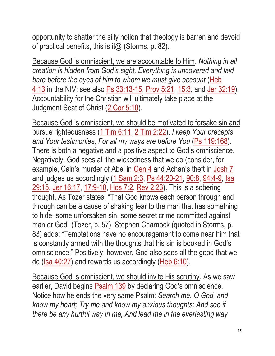opportunity to shatter the silly notion that theology is barren and devoid of practical benefits, this is it  $\omega$  (Storms, p. 82).

Because God is omniscient, we are accountable to Him. *Nothing in all creation is hidden from God's sight. Everything is uncovered and laid bare before the eyes of him to whom we must give account* (Heb [4:13](https://biblia.com/bible/esv/Heb%204.13) in the NIV; see also [Ps 33:13-15,](https://biblia.com/bible/esv/Ps%2033.13-15) [Prov 5:21,](https://biblia.com/bible/esv/Prov%205.21) [15:3,](https://biblia.com/bible/esv/Prov%2015.3) and [Jer 32:19\)](https://biblia.com/bible/esv/Jer%2032.19). Accountability for the Christian will ultimately take place at the Judgment Seat of Christ [\(2 Cor 5:10\)](https://biblia.com/bible/esv/2%20Cor%205.10).

Because God is omniscient, we should be motivated to forsake sin and pursue righteousness [\(1 Tim 6:11,](https://biblia.com/bible/esv/1%20Tim%206.11) [2 Tim 2:22\)](https://biblia.com/bible/esv/2%20Tim%202.22). *I keep Your precepts and Your testimonies, For all my ways are before You* [\(Ps 119:168\)](https://biblia.com/bible/esv/Ps%20119.168). There is both a negative and a positive aspect to God's omniscience. Negatively, God sees all the wickedness that we do (consider, for example, Cain's murder of Abel in [Gen 4](https://biblia.com/bible/esv/Gen%204) and Achan's theft in [Josh 7](https://biblia.com/bible/esv/Josh%207) and judges us accordingly [\(1 Sam 2:3,](https://biblia.com/bible/esv/1%20Sam%202.3) [Ps 44:20-21,](https://biblia.com/bible/esv/Ps%2044.20-21) [90:8,](https://biblia.com/bible/esv/Ps%2090.8) [94:4-9,](https://biblia.com/bible/esv/Ps%2094.4-9) Isa [29:15,](https://biblia.com/bible/esv/Isa%2029.15) [Jer 16:17,](https://biblia.com/bible/esv/Jer%2016.17) [17:9-10,](https://biblia.com/bible/esv/Jer%2017.9-10) [Hos 7:2,](https://biblia.com/bible/esv/Hos%207.2) [Rev 2:23\)](https://biblia.com/bible/esv/Rev%202.23). This is a sobering thought. As Tozer states: "That God knows each person through and through can be a cause of shaking fear to the man that has something to hide–some unforsaken sin, some secret crime committed against man or God" (Tozer, p. 57). Stephen Charnock (quoted in Storms, p. 83) adds: "Temptations have no encouragement to come near him that is constantly armed with the thoughts that his sin is booked in God's omniscience." Positively, however, God also sees all the good that we do [\(Isa 40:27\)](https://biblia.com/bible/esv/Isa%2040.27) and rewards us accordingly [\(Heb 6:10\)](https://biblia.com/bible/esv/Heb%206.10).

Because God is omniscient, we should invite His scrutiny. As we saw earlier, David begins [Psalm 139](https://biblia.com/bible/esv/Ps%20139) by declaring God's omniscience. Notice how he ends the very same Psalm: *Search me, O God, and know my heart; Try me and know my anxious thoughts; And see if there be any hurtful way in me, And lead me in the everlasting way*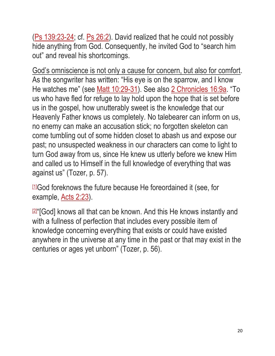[\(Ps 139:23-24;](https://biblia.com/bible/esv/Ps%20139.23-24) cf. [Ps 26:2\)](https://biblia.com/bible/esv/Ps%2026.2). David realized that he could not possibly hide anything from God. Consequently, he invited God to "search him out" and reveal his shortcomings.

God's omniscience is not only a cause for concern, but also for comfort. As the songwriter has written: "His eye is on the sparrow, and I know He watches me" (see [Matt 10:29-31\)](https://biblia.com/bible/esv/Matt%2010.29-31). See also [2 Chronicles 16:9a.](https://biblia.com/bible/esv/2%20Chron%2016.9a) "To us who have fled for refuge to lay hold upon the hope that is set before us in the gospel, how unutterably sweet is the knowledge that our Heavenly Father knows us completely. No talebearer can inform on us, no enemy can make an accusation stick; no forgotten skeleton can come tumbling out of some hidden closet to abash us and expose our past; no unsuspected weakness in our characters can come to light to turn God away from us, since He knew us utterly before we knew Him and called us to Himself in the full knowledge of everything that was against us" (Tozer, p. 57).

[\[1\]](http://www.freesundayschoollessons.org/systematic-theology/attributes-of-god-lesson-4-god-is-omniscient/#_ftnref1)God foreknows the future because He foreordained it (see, for example, [Acts 2:23\)](https://biblia.com/bible/esv/Acts%202.23).

<del>**☑**</del>"[God] knows all that can be known. And this He knows instantly and with a fullness of perfection that includes every possible item of knowledge concerning everything that exists or could have existed anywhere in the universe at any time in the past or that may exist in the centuries or ages yet unborn" (Tozer, p. 56).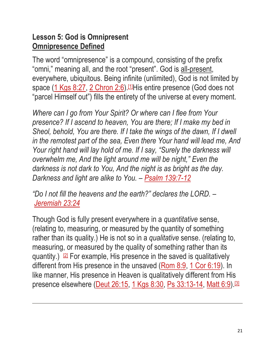### **Lesson 5: God is Omnipresent Omnipresence Defined**

The word "omnipresence" is a compound, consisting of the prefix "omni," meaning all, and the root "present". God is all-present, everywhere, ubiquitous. Being infinite (unlimited), God is not limited by space [\(1 Kgs 8:27,](https://biblia.com/bible/esv/1%20Kings%208.27) [2 Chron 2:6\)](https://biblia.com/bible/esv/2%20Chron%202.6).<sup>[\[1\]](http://www.freesundayschoollessons.org/systematic-theology/attributes-of-god-lesson-5-god-is-omnipresent/#_ftn1)</sup>His entire presence (God does not "parcel Himself out") fills the entirety of the universe at every moment.

*Where can I go from Your Spirit? Or where can I flee from Your presence? If I ascend to heaven, You are there; If I make my bed in Sheol, behold, You are there. If I take the wings of the dawn, If I dwell in the remotest part of the sea, Even there Your hand will lead me, And Your right hand will lay hold of me. If I say, "Surely the darkness will overwhelm me, And the light around me will be night," Even the darkness is not dark to You, And the night is as bright as the day. Darkness and light are alike to You. – [Psalm 139:7-12](https://biblia.com/bible/esv/Ps%20139.7-12)*

*"Do I not fill the heavens and the earth?" declares the LORD. – [Jeremiah 23:24](https://biblia.com/bible/esv/Jer%2023.24)*

Though God is fully present everywhere in a *quantitative* sense, (relating to, measuring, or measured by the quantity of something rather than its quality.) He is not so in a *qualitative* sense. (relating to, measuring, or measured by the quality of something rather than its quantity.)  $[2]$  For example, His presence in the saved is qualitatively different from His presence in the unsaved [\(Rom 8:9,](https://biblia.com/bible/esv/Rom%208.9) [1 Cor 6:19\)](https://biblia.com/bible/esv/1%20Cor%206.19). In like manner, His presence in Heaven is qualitatively different from His presence elsewhere [\(Deut 26:15,](https://biblia.com/bible/esv/Deut%2026.15) [1 Kgs 8:30,](https://biblia.com/bible/esv/1%20Kings%208.30) [Ps 33:13-14,](https://biblia.com/bible/esv/Ps%2033.13-14) [Matt 6:9\)](https://biblia.com/bible/esv/Matt%206.9).<sup>[\[3\]](http://www.freesundayschoollessons.org/systematic-theology/attributes-of-god-lesson-5-god-is-omnipresent/#_ftn3)</sup>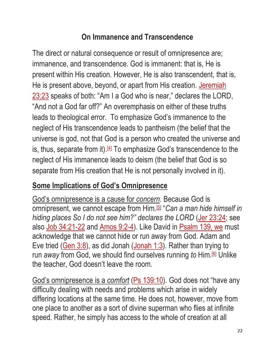# **On Immanence and Transcendence**

The direct or natural consequence or result of omnipresence are; immanence, and transcendence. God is immanent: that is, He is present within His creation. However, He is also transcendent, that is, He is present above, beyond, or apart from His creation. Jeremiah [23:23](https://biblia.com/bible/esv/Jer%2023.23) speaks of both: "Am I a God who is near," declares the LORD, "And not a God far off?" An overemphasis on either of these truths leads to theological error. To emphasize God's immanence to the neglect of His transcendence leads to pantheism (the belief that the universe is god, not that God is a person who created the universe and is, thus, separate from it).<sup>[\[4\]](http://www.freesundayschoollessons.org/systematic-theology/attributes-of-god-lesson-5-god-is-omnipresent/#_ftn4)</sup> To emphasize God's transcendence to the neglect of His immanence leads to deism (the belief that God is so separate from His creation that He is not personally involved in it).

### **Some Implications of God's Omnipresence**

God's omnipresence is a cause for *concern*. Because God is omnipresent, we cannot escape from Him.[\[5\]](http://www.freesundayschoollessons.org/systematic-theology/attributes-of-god-lesson-5-god-is-omnipresent/#_ftn5) "*Can a man hide himself in hiding places So I do not see him?" declares the LORD* [\(Jer 23:24;](https://biblia.com/bible/esv/Jer%2023.24) see also [Job 34:21-22](https://biblia.com/bible/esv/Job%2034.21-22) and [Amos 9:2-4\)](https://biblia.com/bible/esv/Amos%209.2-4). Like David in [Psalm 139, we](https://biblia.com/bible/we/Ps%20139) must acknowledge that we cannot hide or run away from God. Adam and Eve tried [\(Gen 3:8\)](https://biblia.com/bible/esv/Gen%203.8), as did Jonah [\(Jonah 1:3\)](https://biblia.com/bible/esv/Jonah%201.3). Rather than trying to run *away* from God, we should find ourselves running *to* Him.[\[6\]](http://www.freesundayschoollessons.org/systematic-theology/attributes-of-god-lesson-5-god-is-omnipresent/#_ftn6) Unlike the teacher, God doesn't leave the room.

God's omnipresence is a *comfort* [\(Ps 139:10\)](https://biblia.com/bible/esv/Ps%20139.10). God does not "have any difficulty dealing with needs and problems which arise in widely differing locations at the same time. He does not, however, move from one place to another as a sort of divine superman who flies at infinite speed. Rather, he simply has access to the whole of creation at all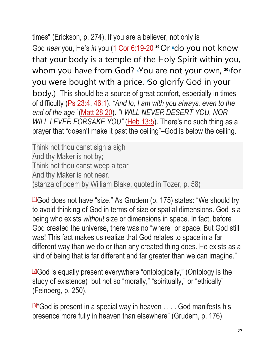times" (Erickson, p. 274). If you are a believer, not only is Go[d](https://biblia.com/bible/esv/1%20Cor%206.19-20#footnote1) *near* you, He's *in* you [\(1 Cor 6:19-20](https://biblia.com/bible/esv/1%20Cor%206.19-20)<sup>19</sup> Or <sup>p</sup>do you not know that your body is a temple of the Holy Spirit within you, whom you have from God?*q*You are not your own, **<sup>20</sup>** *<sup>r</sup>* [f](https://biblia.com/bible/esv/1%20Cor%206.19-20#footnote3)or you were bought with a price. *s*[S](https://biblia.com/bible/esv/1%20Cor%206.19-20#footnote4)o glorify God in your body.) This should be a source of great comfort, especially in times of difficulty [\(Ps 23:4,](https://biblia.com/bible/esv/Ps%2023.4) [46:1\)](https://biblia.com/bible/esv/Ps%2046.1). *"And lo, I am with you always, even to the end of the age"* [\(Matt 28:20\)](https://biblia.com/bible/esv/Matt%2028.20). *"I WILL NEVER DESERT YOU, NOR WILL I EVER FORSAKE YOU"* [\(Heb 13:5\)](https://biblia.com/bible/esv/Heb%2013.5). There's no such thing as a prayer that "doesn't make it past the ceiling"–God is below the ceiling.

Think not thou canst sigh a sigh And thy Maker is not by; Think not thou canst weep a tear And thy Maker is not near. (stanza of poem by William Blake, quoted in Tozer, p. 58)

 $11$ God does not have "size." As Grudem (p. 175) states: "We should try to avoid thinking of God in terms of size or spatial dimensions. God is a being who exists *without* size or dimensions in space. In fact, before God created the universe, there was no "where" or space. But God still was! This fact makes us realize that God relates to space in a far different way than we do or than any created thing does. He exists as a kind of being that is far different and far greater than we can imagine."

 $22$ God is equally present everywhere "ontologically," (Ontology is the study of existence) but not so "morally," "spiritually," or "ethically" (Feinberg, p. 250).

**B**<sup>"</sup>God is present in a special way in heaven . . . . God manifests his presence more fully in heaven than elsewhere" (Grudem, p. 176).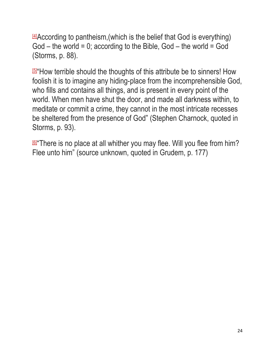$44$ According to pantheism, (which is the belief that God is everything)  $God - the world = 0; according to the Bible, God - the world = God$ (Storms, p. 88).

[\[5\]](http://www.freesundayschoollessons.org/systematic-theology/attributes-of-god-lesson-5-god-is-omnipresent/#_ftnref5) "How terrible should the thoughts of this attribute be to sinners! How foolish it is to imagine any hiding-place from the incomprehensible God, who fills and contains all things, and is present in every point of the world. When men have shut the door, and made all darkness within, to meditate or commit a crime, they cannot in the most intricate recesses be sheltered from the presence of God" (Stephen Charnock, quoted in Storms, p. 93).

**<u><sup>[\[6\]](http://www.freesundayschoollessons.org/systematic-theology/attributes-of-god-lesson-5-god-is-omnipresent/#_ftnref6)</mark></u>"There is no place at all whither you may flee. Will you flee from him?**</u></sup> Flee unto him" (source unknown, quoted in Grudem, p. 177)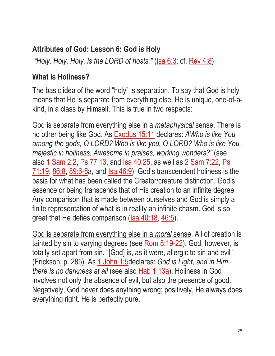# **Attributes of God: Lesson 6: God is Holy**

*"Holy, Holy, Holy, is the LORD of hosts."* [\(Isa 6:3;](https://biblia.com/bible/esv/Isa%206.3) cf. [Rev 4:8\)](https://biblia.com/bible/esv/Rev%204.8)

### **What is Holiness?**

The basic idea of the word "holy" is separation. To say that God is holy means that He is separate from everything else. He is unique, one-of-akind, in a class by Himself. This is true in two respects:

God is separate from everything else in a *metaphysical* sense. There is no other being like God. As [Exodus 15:11](https://biblia.com/bible/esv/Exod%2015.11) declares: *AWho is like You among the gods, O LORD? Who is like you, O LORD? Who is like You, majestic in holiness, Awesome in praises, working wonders?"* (see also [1 Sam 2:2,](https://biblia.com/bible/esv/1%20Sam%202.2) [Ps 77:13,](https://biblia.com/bible/esv/Ps%2077.13) and [Isa 40:25,](https://biblia.com/bible/esv/Isa%2040.25) as well as [2 Sam 7:22,](https://biblia.com/bible/esv/2%20Sam%207.22) [Ps](https://biblia.com/bible/esv/Ps%2071.19)   $71:19$ ,  $86:8$ ,  $89:6-8a$ , and  $Isa 46:9$ . God's transcendent holiness is the basis for what has been called the Creator/creature distinction. God's essence or being transcends that of His creation to an infinite degree. Any comparison that is made between ourselves and God is simply a finite representation of what is in reality an infinite chasm. God is so great that He defies comparison [\(Isa 40:18,](https://biblia.com/bible/esv/Isa%2040.18) [46:5\)](https://biblia.com/bible/esv/Isa%2046.5).

God is separate from everything else in a *moral* sense. All of creation is tainted by sin to varying degrees (see [Rom 8:19-22\)](https://biblia.com/bible/esv/Rom%208.19-22). God, however, is totally set apart from sin. "[God] is, as it were, allergic to sin and evil" (Erickson, p. 285). As [1 John 1:5d](https://biblia.com/bible/esv/1%20John%201.5)eclares: *God is Light, and in Him there is no darkness at all* (see also [Hab 1:13a\)](https://biblia.com/bible/esv/Hab%201.13a). Holiness in God involves not only the absence of evil, but also the presence of good. Negatively, God never does anything wrong; positively, He always does everything right. He is perfectly pure.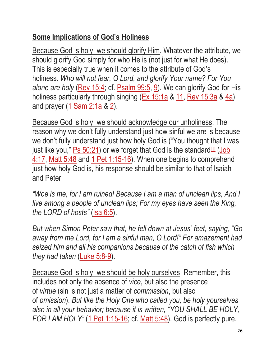# **Some Implications of God's Holiness**

Because God is holy, we should glorify Him. Whatever the attribute, we should glorify God simply for who He is (not just for what He does). This is especially true when it comes to the attribute of God's holiness. *Who will not fear, O Lord, and glorify Your name? For You alone are holy* [\(Rev 15:4;](https://biblia.com/bible/esv/Rev%2015.4) cf. [Psalm 99:5,](https://biblia.com/bible/esv/Ps%2099.5) [9\)](https://biblia.com/bible/esv/Psalm%2099.9). We can glorify God for His holiness particularly through singing  $(**Ex 15:1a**$  &  $11$ , [Rev 15:3a](https://biblia.com/bible/esv/Rev%2015.3a) &  $4a$ )</u></u> and prayer [\(1 Sam 2:1a](https://biblia.com/bible/esv/1%20Sam%202.1a) & [2\)](https://biblia.com/bible/esv/1%20Sam%202.2).

Because God is holy, we should acknowledge our unholiness. The reason why we don't fully understand just how sinful we are is because we don't fully understand just how holy God is ("You thought that I was just like you,"  $Ps\ 50:21$ ) or we forget that God is the standard<sup>[\[1\]](http://www.freesundayschoollessons.org/systematic-theology/attributes-of-god-lesson-6-god-is-holy/#_ftn1)</sup> (Job [4:17,](https://biblia.com/bible/esv/Job%204.17) [Matt 5:48](https://biblia.com/bible/esv/Matt%205.48) and [1 Pet 1:15-16\)](https://biblia.com/bible/esv/1%20Pet%201.15-16). When one begins to comprehend just how holy God is, his response should be similar to that of Isaiah and Peter:

*"Woe is me, for I am ruined! Because I am a man of unclean lips, And I live among a people of unclean lips; For my eyes have seen the King, the LORD of hosts"* [\(Isa 6:5\)](https://biblia.com/bible/esv/Isa%206.5).

*But when Simon Peter saw that, he fell down at Jesus' feet, saying, "Go away from me Lord, for I am a sinful man, O Lord!" For amazement had seized him and all his companions because of the catch of fish which they had taken* [\(Luke 5:8-9\)](https://biblia.com/bible/esv/Luke%205.8-9).

Because God is holy, we should be holy ourselves. Remember, this includes not only the absence of *vice*, but also the presence of *virtue* (sin is not just a matter of *commission*, but also of *omission*). *But like the Holy One who called you, be holy yourselves also in all your behavior; because it is written, "YOU SHALL BE HOLY, FOR I AM HOLY<sup>"</sup>* [\(1 Pet 1:15-16;](https://biblia.com/bible/esv/1%20Pet%201.15-16) cf. [Matt 5:48\)](https://biblia.com/bible/esv/Matt%205.48). God is perfectly pure.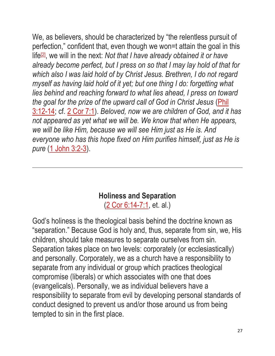We, as believers, should be characterized by "the relentless pursuit of perfection," confident that, even though we won=t attain the goal in this life<sup>[\[2\]](http://www.freesundayschoollessons.org/systematic-theology/attributes-of-god-lesson-6-god-is-holy/#_ftn2)</sup>, we will in the next: *Not that I have already obtained it or have already become perfect, but I press on so that I may lay hold of that for which also I was laid hold of by Christ Jesus. Brethren, I do not regard myself as having laid hold of it yet; but one thing I do: forgetting what lies behind and reaching forward to what lies ahead, I press on toward the goal for the prize of the upward call of God in Christ Jesus* [\(Phil](https://biblia.com/bible/esv/Phil%203.12-14)  [3:12-14;](https://biblia.com/bible/esv/Phil%203.12-14) cf. [2 Cor 7:1\)](https://biblia.com/bible/esv/2%20Cor%207.1). *Beloved, now we are children of God, and it has not appeared as yet what we will be. We know that when He appears, we will be like Him, because we will see Him just as He is. And everyone who has this hope fixed on Him purifies himself, just as He is pure* [\(1 John 3:2-3\)](https://biblia.com/bible/esv/1%20John%203.2-3).

#### **Holiness and Separation**

[\(2 Cor 6:14-7:1,](https://biblia.com/bible/esv/2%20Cor%206.14-7.1) et. al.)

God's holiness is the theological basis behind the doctrine known as "separation." Because God is holy and, thus, separate from sin, we, His children, should take measures to separate ourselves from sin. Separation takes place on two levels: corporately (or ecclesiastically) and personally. Corporately, we as a church have a responsibility to separate from any individual or group which practices theological compromise (liberals) or which associates with one that does (evangelicals). Personally, we as individual believers have a responsibility to separate from evil by developing personal standards of conduct designed to prevent us and/or those around us from being tempted to sin in the first place.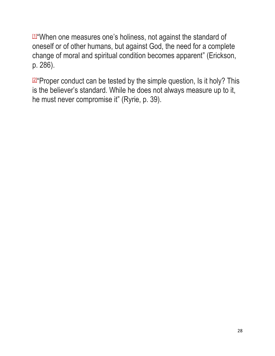[\[1\]](http://www.freesundayschoollessons.org/systematic-theology/attributes-of-god-lesson-6-god-is-holy/#_ftnref1) "When one measures one's holiness, not against the standard of oneself or of other humans, but against God, the need for a complete change of moral and spiritual condition becomes apparent" (Erickson, p. 286).

**2** Proper conduct can be tested by the simple question, Is it holy? This is the believer's standard. While he does not always measure up to it, he must never compromise it" (Ryrie, p. 39).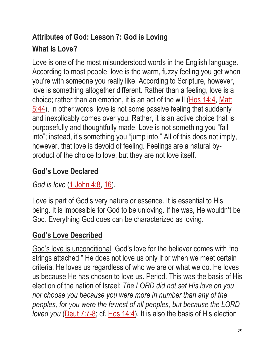# **Attributes of God: Lesson 7: God is Loving What is Love?**

Love is one of the most misunderstood words in the English language. According to most people, love is the warm, fuzzy feeling you get when you're with someone you really like. According to Scripture, however, love is something altogether different. Rather than a feeling, love is a choice; rather than an emotion, it is an act of the will [\(Hos 14:4,](https://biblia.com/bible/esv/Hos%2014.4) [Matt](https://biblia.com/bible/esv/Matt%205.44)  [5:44\)](https://biblia.com/bible/esv/Matt%205.44). In other words, love is not some passive feeling that suddenly and inexplicably comes over you. Rather, it is an active choice that is purposefully and thoughtfully made. Love is not something you "fall into"; instead, it's something you "jump into." All of this does not imply, however, that love is devoid of feeling. Feelings are a natural byproduct of the choice to love, but they are not love itself.

# **God's Love Declared**

*God is love* [\(1 John 4:8,](https://biblia.com/bible/esv/1%20John%204.8) [16\)](https://biblia.com/bible/esv/1%20John%204.16).

Love is part of God's very nature or essence. It is essential to His being. It is impossible for God to be unloving. If he was, He wouldn't be God. Everything God does can be characterized as loving.

# **God's Love Described**

God's love is unconditional. God's love for the believer comes with "no strings attached." He does not love us only if or when we meet certain criteria. He loves us regardless of who we are or what we do. He loves us because He has chosen to love us. Period. This was the basis of His election of the nation of Israel: *The LORD did not set His love on you nor choose you because you were more in number than any of the peoples, for you were the fewest of all peoples, but because the LORD loved you* (*Deut 7:7-8; cf. Hos 14:4*). It is also the basis of His election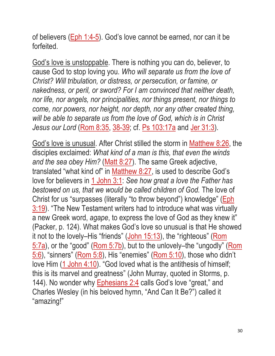of believers [\(Eph 1:4-5\)](https://biblia.com/bible/esv/Eph%201.4-5). God's love cannot be earned, nor can it be forfeited.

God's love is unstoppable. There is nothing you can do, believer, to cause God to stop loving you. *Who will separate us from the love of Christ? Will tribulation, or distress, or persecution, or famine, or nakedness, or peril, or sword? For I am convinced that neither death, nor life, nor angels, nor principalities, nor things present, nor things to come, nor powers, nor height, nor depth, nor any other created thing, will be able to separate us from the love of God, which is in Christ Jesus our Lord* [\(Rom 8:35,](https://biblia.com/bible/esv/Rom%208.35) [38-39;](https://biblia.com/bible/esv/Rom%208.38-39) cf. [Ps 103:17a](https://biblia.com/bible/esv/Ps%20103.17a) and [Jer 31:3\)](https://biblia.com/bible/esv/Jer%2031.3).

God's love is unusual. After Christ stilled the storm in [Matthew 8:26,](https://biblia.com/bible/esv/Matt%208.26) the disciples exclaimed: *What kind of a man is this, that even the winds*  and the sea obey Him? [\(Matt 8:27\)](https://biblia.com/bible/esv/Matt%208.27). The same Greek adjective, translated "what kind of" in [Matthew 8:27,](https://biblia.com/bible/esv/Matt%208.27) is used to describe God's love for believers in [1 John 3:1:](https://biblia.com/bible/esv/1%20John%203.1) *See how great a love the Father has bestowed on us, that we would be called children of God.* The love of Christ for us "surpasses (literally "to throw beyond") knowledge" [\(Eph](https://biblia.com/bible/esv/Eph%203.19)  [3:19\)](https://biblia.com/bible/esv/Eph%203.19). "The New Testament writers had to introduce what was virtually a new Greek word, *agape*, to express the love of God as they knew it" (Packer, p. 124). What makes God's love so unusual is that He showed it not to the lovely–His "friends" [\(John 15:13\)](https://biblia.com/bible/esv/John%2015.13), the "righteous" (Rom [5:7a\)](https://biblia.com/bible/esv/Rom%205.7a), or the "good" [\(Rom 5:7b\)](https://biblia.com/bible/esv/Rom%205.7b), but to the unlovely–the "ungodly" [\(Rom](https://biblia.com/bible/esv/Rom%205.6)  [5:6\)](https://biblia.com/bible/esv/Rom%205.6), "sinners" [\(Rom 5:8\)](https://biblia.com/bible/esv/Rom%205.8), His "enemies" [\(Rom 5:10\)](https://biblia.com/bible/esv/Rom%205.10), those who didn't love Him [\(1 John 4:10\)](https://biblia.com/bible/esv/1%20John%204.10). "God loved what is the antithesis of himself; this is its marvel and greatness" (John Murray, quoted in Storms, p. 144). No wonder why **Ephesians 2:4** calls God's love "great," and Charles Wesley (in his beloved hymn, "And Can It Be?") called it "amazing!"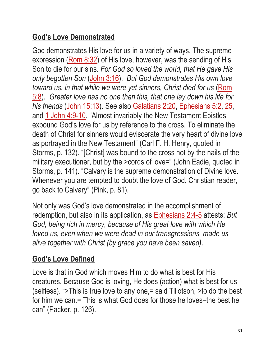# **God's Love Demonstrated**

God demonstrates His love for us in a variety of ways. The supreme expression [\(Rom 8:32\)](https://biblia.com/bible/esv/Rom%208.32) of His love, however, was the sending of His Son to die for our sins. *For God so loved the world, that He gave His only begotten Son* [\(John 3:16\)](https://biblia.com/bible/esv/John%203.16). *But God demonstrates His own love toward us, in that while we were yet sinners, Christ died for us (Rom*) [5:8\)](https://biblia.com/bible/esv/Rom%205.8). *Greater love has no one than this, that one lay down his life for his friends* [\(John 15:13\)](https://biblia.com/bible/esv/John%2015.13). See also [Galatians 2:20,](https://biblia.com/bible/esv/Gal%202.20) [Ephesians 5:2,](https://biblia.com/bible/esv/Eph%205.2) [25,](https://biblia.com/bible/esv/Ephesians%205.25) and [1 John 4:9-10.](https://biblia.com/bible/esv/1%20John%204.9-10) "Almost invariably the New Testament Epistles expound God's love for us by reference to the cross. To eliminate the death of Christ for sinners would eviscerate the very heart of divine love as portrayed in the New Testament" (Carl F. H. Henry, quoted in Storms, p. 132). "[Christ] was bound to the cross not by the nails of the military executioner, but by the >cords of love=" (John Eadie, quoted in Storms, p. 141). "Calvary is the supreme demonstration of Divine love. Whenever you are tempted to doubt the love of God, Christian reader, go back to Calvary" (Pink, p. 81).

Not only was God's love demonstrated in the accomplishment of redemption, but also in its application, as [Ephesians 2:4-5](https://biblia.com/bible/esv/Eph%202.4-5) attests: *But God, being rich in mercy, because of His great love with which He loved us, even when we were dead in our transgressions, made us alive together with Christ (by grace you have been saved)*.

# **God's Love Defined**

Love is that in God which moves Him to do what is best for His creatures. Because God is loving, He does (action) what is best for us (selfless). ">This is true love to any one,= said Tillotson, >to do the best for him we can.= This is what God does for those he loves–the best he can" (Packer, p. 126).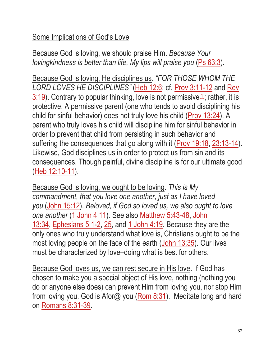# Some Implications of God's Love

Because God is loving, we should praise Him. *Because Your lovingkindness is better than life, My lips will praise you [\(Ps 63:3\)](https://biblia.com/bible/esv/Ps%2063.3).* 

Because God is loving, He disciplines us. *"FOR THOSE WHOM THE LORD LOVES HE DISCIPLINES"* [\(Heb 12:6;](https://biblia.com/bible/esv/Heb%2012.6) cf. [Prov 3:11-12](https://biblia.com/bible/esv/Prov%203.11-12) and [Rev](https://biblia.com/bible/esv/Rev%203.19)   $3:19$ ). Contrary to popular thinking, love is not permissive  $1/2$ ; rather, it is protective. A permissive parent (one who tends to avoid disciplining his child for sinful behavior) does not truly love his child [\(Prov 13:24\)](https://biblia.com/bible/esv/Prov%2013.24). A parent who truly loves his child will discipline him for sinful behavior in order to prevent that child from persisting in such behavior and suffering the consequences that go along with it [\(Prov 19:18,](https://biblia.com/bible/esv/Prov%2019.18) [23:13-14\)](https://biblia.com/bible/esv/Prov%2023.13-14). Likewise, God disciplines us in order to protect us from sin and its consequences. Though painful, divine discipline is for our ultimate good [\(Heb 12:10-11\)](https://biblia.com/bible/esv/Heb%2012.10-11).

Because God is loving, we ought to be loving. *This is My commandment, that you love one another, just as I have loved you* [\(John 15:12\)](https://biblia.com/bible/esv/John%2015.12). *Beloved, if God so loved us, we also ought to love one another* [\(1 John 4:11\)](https://biblia.com/bible/esv/1%20John%204.11)*.* See also [Matthew 5:43-48,](https://biblia.com/bible/esv/Matt%205.43-48) [John](https://biblia.com/bible/esv/John%2013.34)  [13:34,](https://biblia.com/bible/esv/John%2013.34) [Ephesians 5:1-2,](https://biblia.com/bible/esv/Eph%205.1-2) [25,](https://biblia.com/bible/esv/Ephesians%205.25) and [1 John 4:19.](https://biblia.com/bible/esv/1%20John%204.19) Because they are the only ones who truly understand what love is, Christians ought to be the most loving people on the face of the earth [\(John 13:35\)](https://biblia.com/bible/esv/John%2013.35). Our lives must be characterized by love–doing what is best for others.

Because God loves us, we can rest secure in His love. If God has chosen to make you a special object of His love, nothing (nothing you do or anyone else does) can prevent Him from loving you, nor stop Him from loving you. God is Afor@ you [\(Rom 8:31\)](https://biblia.com/bible/esv/Rom%208.31). Meditate long and hard on [Romans 8:31-39.](https://biblia.com/bible/esv/Rom%208.31-39)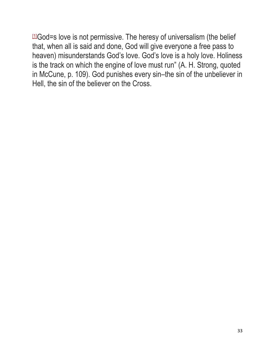$11$ God=s love is not permissive. The heresy of universalism (the belief that, when all is said and done, God will give everyone a free pass to heaven) misunderstands God's love. God's love is a holy love. Holiness is the track on which the engine of love must run" (A. H. Strong, quoted in McCune, p. 109). God punishes every sin–the sin of the unbeliever in Hell, the sin of the believer on the Cross.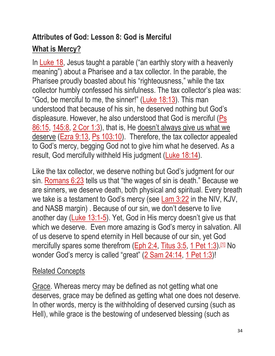# **Attributes of God: Lesson 8: God is Merciful What is Mercy?**

In [Luke 18,](https://biblia.com/bible/esv/Luke%2018) Jesus taught a parable ("an earthly story with a heavenly meaning") about a Pharisee and a tax collector. In the parable, the Pharisee proudly boasted about his "righteousness," while the tax collector humbly confessed his sinfulness. The tax collector's plea was: "God, be merciful to me, the sinner!" (Luke  $18:13$ ). This man understood that because of his sin, he deserved nothing but God's displeasure. However, he also understood that God is merciful [\(Ps](https://biblia.com/bible/esv/Ps%2086.15)  [86:15,](https://biblia.com/bible/esv/Ps%2086.15) [145:8,](https://biblia.com/bible/esv/Ps%20145.8) [2 Cor 1:3\)](https://biblia.com/bible/esv/2%20Cor%201.3), that is, He doesn't always give us what we deserve [\(Ezra 9:13,](https://biblia.com/bible/esv/Ezra%209.13) [Ps 103:10\)](https://biblia.com/bible/esv/Ps%20103.10). Therefore, the tax collector appealed to God's mercy, begging God not to give him what he deserved. As a result, God mercifully withheld His judgment [\(Luke 18:14\)](https://biblia.com/bible/esv/Luke%2018.14).

Like the tax collector, we deserve nothing but God's judgment for our sin. [Romans 6:23](https://biblia.com/bible/esv/Rom%206.23) tells us that "the wages of sin is death." Because we are sinners, we deserve death, both physical and spiritual. Every breath we take is a testament to God's mercy (see [Lam 3:22](https://biblia.com/bible/esv/Lam%203.22) in the NIV, KJV, and NASB margin) . Because of our sin, we don't deserve to live another day [\(Luke 13:1-5\)](https://biblia.com/bible/esv/Luke%2013.1-5). Yet, God in His mercy doesn't give us that which we deserve. Even more amazing is God's mercy in salvation. All of us deserve to spend eternity in Hell because of our sin, yet God mercifully spares some therefrom ( $Eph 2:4$ , [Titus 3:5,](https://biblia.com/bible/esv/Titus%203.5) [1 Pet 1:3\)](https://biblia.com/bible/esv/1%20Pet%201.3).<sup>[\[1\]](http://www.freesundayschoollessons.org/systematic-theology/attributes-of-god-lesson-8-god-is-merciful/#_ftn1)</sup> No wonder God's mercy is called "great" [\(2 Sam 24:14,](https://biblia.com/bible/esv/2%20Sam%2024.14) [1 Pet 1:3\)](https://biblia.com/bible/esv/1%20Pet%201.3)!

#### Related Concepts

Grace. Whereas mercy may be defined as not getting what one deserves, grace may be defined as getting what one does not deserve. In other words, mercy is the withholding of deserved cursing (such as Hell), while grace is the bestowing of undeserved blessing (such as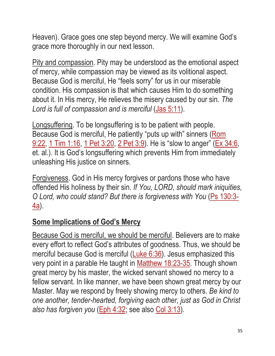Heaven). Grace goes one step beyond mercy. We will examine God's grace more thoroughly in our next lesson.

Pity and compassion. Pity may be understood as the emotional aspect of mercy, while compassion may be viewed as its volitional aspect. Because God is merciful, He "feels sorry" for us in our miserable condition. His compassion is that which causes Him to do something about it. In His mercy, He relieves the misery caused by our sin. *The*  Lord is full of compassion and is merciful [\(Jas 5:11\)](https://biblia.com/bible/esv/James%205.11).

Longsuffering. To be longsuffering is to be patient with people. Because God is merciful, He patiently "puts up with" sinners (Rom [9:22,](https://biblia.com/bible/esv/Rom%209.22) [1 Tim 1:16,](https://biblia.com/bible/esv/1%20Tim%201.16) [1 Pet 3:20,](https://biblia.com/bible/esv/1%20Pet%203.20) [2 Pet 3:9\)](https://biblia.com/bible/esv/2%20Pet%203.9). He is "slow to anger" [\(Ex 34:6,](https://biblia.com/bible/esv/Exod%2034.6) et. al.). It is God's longsuffering which prevents Him from immediately unleashing His justice on sinners.

Forgiveness. God in His mercy forgives or pardons those who have offended His holiness by their sin. *If You, LORD, should mark iniquities, O Lord, who could stand? But there is forgiveness with You* [\(Ps 130:3-](https://biblia.com/bible/esv/Ps%20130.3-4a) [4a\)](https://biblia.com/bible/esv/Ps%20130.3-4a).

# **Some Implications of God's Mercy**

Because God is merciful, we should be merciful. Believers are to make every effort to reflect God's attributes of goodness. Thus, we should be merciful because God is merciful [\(Luke 6:36\)](https://biblia.com/bible/esv/Luke%206.36). Jesus emphasized this very point in a parable He taught in [Matthew 18:23-35.](https://biblia.com/bible/esv/Matt%2018.23-35) Though shown great mercy by his master, the wicked servant showed no mercy to a fellow servant. In like manner, we have been shown great mercy by our Master. May we respond by freely showing mercy to others. *Be kind to one another, tender-hearted, forgiving each other, just as God in Christ also has forgiven you* [\(Eph 4:32;](https://biblia.com/bible/esv/Eph%204.32) see also [Col 3:13\)](https://biblia.com/bible/esv/Col%203.13)*.*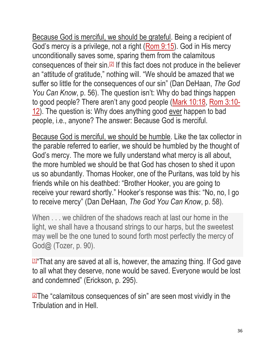Because God is merciful, we should be grateful. Being a recipient of God's mercy is a privilege, not a right [\(Rom 9:15\)](https://biblia.com/bible/esv/Rom%209.15). God in His mercy unconditionally saves some, sparing them from the calamitous consequences of their  $\sin 2$  If this fact does not produce in the believer an "attitude of gratitude," nothing will. "We should be amazed that we suffer so little for the consequences of our sin" (Dan DeHaan, *The God You Can Know*, p. 56). The question isn't: Why do bad things happen to good people? There aren't any good people [\(Mark 10:18,](https://biblia.com/bible/esv/Mark%2010.18) [Rom 3:10-](https://biblia.com/bible/esv/Rom%203.10-12) [12\)](https://biblia.com/bible/esv/Rom%203.10-12). The question is: Why does anything good ever happen to bad people, i.e., anyone? The answer: Because God is merciful.

Because God is merciful, we should be humble. Like the tax collector in the parable referred to earlier, we should be humbled by the thought of God's mercy. The more we fully understand what mercy is all about, the more humbled we should be that God has chosen to shed it upon us so abundantly. Thomas Hooker, one of the Puritans, was told by his friends while on his deathbed: "Brother Hooker, you are going to receive your reward shortly." Hooker's response was this: "No, no, I go to receive mercy" (Dan DeHaan, *The God You Can Know*, p. 58).

When  $\ldots$  we children of the shadows reach at last our home in the light, we shall have a thousand strings to our harps, but the sweetest may well be the one tuned to sound forth most perfectly the mercy of God@ (Tozer, p. 90).

凹"That any are saved at all is, however, the amazing thing. If God gave to all what they deserve, none would be saved. Everyone would be lost and condemned" (Erickson, p. 295).

 $\sqrt{2}$ The "calamitous consequences of sin" are seen most vividly in the Tribulation and in Hell.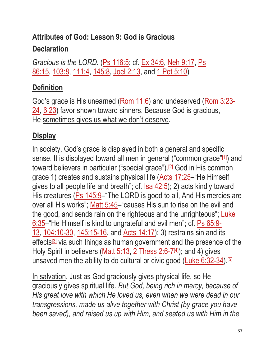# **Attributes of God: Lesson 9: God is Gracious Declaration**

*Gracious is the LORD.* [\(Ps 116:5;](https://biblia.com/bible/esv/Ps%20116.5) cf. [Ex 34:6,](https://biblia.com/bible/esv/Exod%2034.6) [Neh 9:17,](https://biblia.com/bible/esv/Neh%209.17) [Ps](https://biblia.com/bible/esv/Ps%2086.15)  [86:15,](https://biblia.com/bible/esv/Ps%2086.15) [103:8,](https://biblia.com/bible/esv/Ps%20103.8) [111:4,](https://biblia.com/bible/esv/Ps%20111.4) [145:8,](https://biblia.com/bible/esv/Ps%20145.8) [Joel 2:13,](https://biblia.com/bible/esv/Joel%202.13) and [1 Pet 5:10\)](https://biblia.com/bible/esv/1%20Pet%205.10)

# **Definition**

God's grace is His unearned [\(Rom 11:6\)](https://biblia.com/bible/esv/Rom%2011.6) and undeserved [\(Rom 3:23-](https://biblia.com/bible/esv/Rom%203.23-24) [24,](https://biblia.com/bible/esv/Rom%203.23-24) [6:23\)](https://biblia.com/bible/esv/Rom%206.23) favor shown toward sinners. Because God is gracious, He sometimes gives us what we don't deserve.

# **Display**

In society. God's grace is displayed in both a general and specific sense. It is displayed toward all men in general ("common grace"[\[1\]](http://www.freesundayschoollessons.org/systematic-theology/attributes-of-god-lesson-9-god-is-gracious/#_ftn1)) and toward believers in particular ("special grace").<sup>[\[2\]](http://www.freesundayschoollessons.org/systematic-theology/attributes-of-god-lesson-9-god-is-gracious/#_ftn2)</sup> God in His common grace 1) creates and sustains physical life [\(Acts 17:25](https://biblia.com/bible/esv/Acts%2017.25)–"He Himself gives to all people life and breath"; cf. [Isa 42:5\)](https://biblia.com/bible/esv/Isa%2042.5); 2) acts kindly toward His creatures [\(Ps 145:9](https://biblia.com/bible/esv/Ps%20145.9)–"The LORD is good to all, And His mercies are over all His works"; [Matt 5:45](https://biblia.com/bible/esv/Matt%205.45)–"causes His sun to rise on the evil and the good, and sends rain on the righteous and the unrighteous"; Luke [6:35](https://biblia.com/bible/esv/Luke%206.35)–"He Himself is kind to ungrateful and evil men"; cf. [Ps 65:9-](https://biblia.com/bible/esv/Ps%2065.9-13) [13,](https://biblia.com/bible/esv/Ps%2065.9-13) [104:10-30,](https://biblia.com/bible/esv/Ps%20104.10-30) [145:15-16,](https://biblia.com/bible/esv/Ps%20145.15-16) and [Acts 14:17\)](https://biblia.com/bible/esv/Acts%2014.17); 3) restrains sin and its effects<sup>[\[3\]](http://www.freesundayschoollessons.org/systematic-theology/attributes-of-god-lesson-9-god-is-gracious/#_ftn3)</sup> via such things as human government and the presence of the Holy Spirit in believers [\(Matt 5:13,](https://biblia.com/bible/esv/Matt%205.13) [2 Thess 2:6-7](https://biblia.com/bible/esv/2%20Thess%202.6-7)<sup>[\[4\]](https://biblia.com/bible/esv/2%20Thess%202.6-7)</sup>); and 4) gives unsaved men the ability to do cultural or civic good [\(Luke 6:32-34\)](https://biblia.com/bible/esv/Luke%206.32-34).<sup>[\[5\]](http://www.freesundayschoollessons.org/systematic-theology/attributes-of-god-lesson-9-god-is-gracious/#_ftn5)</sup>

In salvation. Just as God graciously gives physical life, so He graciously gives spiritual life. *But God, being rich in mercy, because of His great love with which He loved us, even when we were dead in our transgressions, made us alive together with Christ (by grace you have been saved), and raised us up with Him, and seated us with Him in the*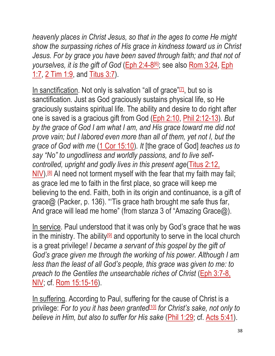*heavenly places in Christ Jesus, so that in the ages to come He might show the surpassing riches of His grace in kindness toward us in Christ Jesus. For by grace you have been saved through faith; and that not of yourselves, it is the gift of God* [\(Eph 2:4-8](https://biblia.com/bible/esv/Eph%202.4-8)[\[6\]](https://biblia.com/bible/esv/Eph%202.4-8); see also [Rom 3:24,](https://biblia.com/bible/esv/Rom%203.24) [Eph](https://biblia.com/bible/esv/Eph%201.7)  [1:7,](https://biblia.com/bible/esv/Eph%201.7) [2 Tim 1:9,](https://biblia.com/bible/esv/2%20Tim%201.9) and [Titus 3:7\)](https://biblia.com/bible/esv/Titus%203.7).

In sanctification. Not only is salvation "all of grace"<sup>[\[7\]](http://www.freesundayschoollessons.org/systematic-theology/attributes-of-god-lesson-9-god-is-gracious/#_ftn7)</sup>, but so is sanctification. Just as God graciously sustains physical life, so He graciously sustains spiritual life. The ability and desire to do right after one is saved is a gracious gift from God [\(Eph 2:10,](https://biblia.com/bible/esv/Eph%202.10) [Phil 2:12-13\)](https://biblia.com/bible/esv/Phil%202.12-13). *But by the grace of God I am what I am, and His grace toward me did not prove vain; but I labored even more than all of them, yet not I, but the grace of God with me* [\(1 Cor 15:10\)](https://biblia.com/bible/esv/1%20Cor%2015.10)*. It* [the grace of God] *teaches us to say "No" to ungodliness and worldly passions, and to live selfcontrolled, upright and godly lives in this present age*(Titus 2:12, [NIV\)](https://biblia.com/bible/niv/Titus%202.12).<sup>[\[8\]](http://www.freesundayschoollessons.org/systematic-theology/attributes-of-god-lesson-9-god-is-gracious/#_ftn8)</sup> AI need not torment myself with the fear that my faith may fail; as grace led me to faith in the first place, so grace will keep me believing to the end. Faith, both in its origin and continuance, is a gift of grace@ (Packer, p. 136). "'Tis grace hath brought me safe thus far, And grace will lead me home" (from stanza 3 of "Amazing Grace@).

In service. Paul understood that it was only by God's grace that he was in the ministry. The ability $[9]$  and opportunity to serve in the local church is a great privilege! *I became a servant of this gospel by the gift of God's grace given me through the working of his power. Although I am less than the least of all God's people, this grace was given to me: to preach to the Gentiles the unsearchable riches of Christ (Eph 3:7-8,* [NIV;](https://biblia.com/bible/niv/Eph%203.7-8) cf. [Rom 15:15-16\)](https://biblia.com/bible/esv/Rom%2015.15-16).

In suffering. According to Paul, suffering for the cause of Christ is a privilege: *For to you it has been granted*[\[10\]](http://www.freesundayschoollessons.org/systematic-theology/attributes-of-god-lesson-9-god-is-gracious/#_ftn10) *for Christ's sake, not only to believe in Him, but also to suffer for His sake* [\(Phil 1:29;](https://biblia.com/bible/esv/Phil%201.29) cf. [Acts 5:41\)](https://biblia.com/bible/esv/Acts%205.41).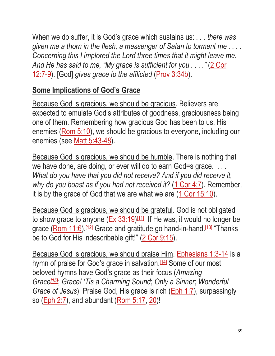When we do suffer, it is God's grace which sustains us: *. . . there was given me a thorn in the flesh, a messenger of Satan to torment me . . . . Concerning this I implored the Lord three times that it might leave me. And He has said to me, "My grace is sufficient for you . . . ."* [\(2 Cor](https://biblia.com/bible/esv/2%20Cor%2012.7-9)  [12:7-9\)](https://biblia.com/bible/esv/2%20Cor%2012.7-9). [God] *gives grace to the afflicted* [\(Prov 3:34b\)](https://biblia.com/bible/esv/Prov%203.34b).

#### **Some Implications of God's Grace**

Because God is gracious, we should be gracious. Believers are expected to emulate God's attributes of goodness, graciousness being one of them. Remembering how gracious God has been to us, His enemies [\(Rom 5:10\)](https://biblia.com/bible/esv/Rom%205.10), we should be gracious to everyone, including our enemies (see [Matt 5:43-48\)](https://biblia.com/bible/esv/Matt%205.43-48).

Because God is gracious, we should be humble. There is nothing that we have done, are doing, or ever will do to earn God=s grace. *. . . What do you have that you did not receive? And if you did receive it, why do you boast as if you had not received it?* [\(1 Cor 4:7\)](https://biblia.com/bible/esv/1%20Cor%204.7). Remember, it is by the grace of God that we are what we are [\(1 Cor 15:10\)](https://biblia.com/bible/esv/1%20Cor%2015.10).

Because God is gracious, we should be grateful. God is not obligated to show grace to anyone [\(Ex 33:19\)](https://biblia.com/bible/esv/Exod%2033.19)<sup>[\[11\]](http://www.freesundayschoollessons.org/systematic-theology/attributes-of-god-lesson-9-god-is-gracious/#_ftn11)</sup>. If He was, it would no longer be grace (<u>Rom 11:6</u>).<sup>[\[12\]](http://www.freesundayschoollessons.org/systematic-theology/attributes-of-god-lesson-9-god-is-gracious/#_ftn12)</sup> Grace and gratitude go hand-in-hand.<sup>[\[13\]](http://www.freesundayschoollessons.org/systematic-theology/attributes-of-god-lesson-9-god-is-gracious/#_ftn13)</sup> "Thanks be to God for His indescribable gift!" [\(2 Cor 9:15\)](https://biblia.com/bible/esv/2%20Cor%209.15).

Because God is gracious, we should praise Him. [Ephesians 1:3-14](https://biblia.com/bible/esv/Eph%201.3-14) is a hymn of praise for God's grace in salvation.<sup>[\[14\]](http://www.freesundayschoollessons.org/systematic-theology/attributes-of-god-lesson-9-god-is-gracious/#_ftn14)</sup> Some of our most beloved hymns have God's grace as their focus (*Amazing Grace[\[15\]](http://www.freesundayschoollessons.org/systematic-theology/attributes-of-god-lesson-9-god-is-gracious/#_ftn15)*; *Grace! 'Tis a Charming Sound*; *Only a Sinner*; *Wonderful Grace of Jesus*). Praise God, His grace is rich [\(Eph 1:7\)](https://biblia.com/bible/esv/Eph%201.7), surpassingly so [\(Eph 2:7\)](https://biblia.com/bible/esv/Eph%202.7), and abundant [\(Rom 5:17,](https://biblia.com/bible/esv/Rom%205.17) [20\)](https://biblia.com/bible/esv/Rom%205.20)!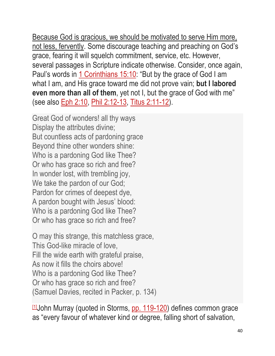Because God is gracious, we should be motivated to serve Him more, not less, fervently. Some discourage teaching and preaching on God's grace, fearing it will squelch commitment, service, etc. However, several passages in Scripture indicate otherwise. Consider, once again, Paul's words in [1 Corinthians 15:10:](https://biblia.com/bible/esv/1%20Cor%2015.10) "But by the grace of God I am what I am, and His grace toward me did not prove vain; **but I labored even more than all of them**, yet not I, but the grace of God with me" (see also [Eph 2:10,](https://biblia.com/bible/esv/Eph%202.10) [Phil 2:12-13,](https://biblia.com/bible/esv/Phil%202.12-13) [Titus 2:11-12\)](https://biblia.com/bible/esv/Titus%202.11-12).

Great God of wonders! all thy ways Display the attributes divine; But countless acts of pardoning grace Beyond thine other wonders shine: Who is a pardoning God like Thee? Or who has grace so rich and free? In wonder lost, with trembling joy, We take the pardon of our God; Pardon for crimes of deepest dye, A pardon bought with Jesus' blood: Who is a pardoning God like Thee? Or who has grace so rich and free?

O may this strange, this matchless grace, This God-like miracle of love, Fill the wide earth with grateful praise, As now it fills the choirs above! Who is a pardoning God like Thee? Or who has grace so rich and free? (Samuel Davies, recited in Packer, p. 134)

[\[1\]](http://www.freesundayschoollessons.org/systematic-theology/attributes-of-god-lesson-9-god-is-gracious/#_ftnref1)John Murray (quoted in Storms, [pp. 119-120\)](https://biblia.com/bible/esv/Phil.%20119-120) defines common grace as "every favour of whatever kind or degree, falling short of salvation,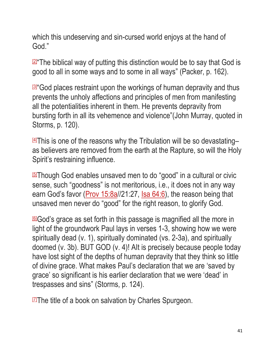which this undeserving and sin-cursed world enjoys at the hand of God."

**2** The biblical way of putting this distinction would be to say that God is good to all in some ways and to some in all ways" (Packer, p. 162).

<u><sup>|31</mark></u>"God places restraint upon the workings of human depravity and thus</u></sup> prevents the unholy affections and principles of men from manifesting all the potentialities inherent in them. He prevents depravity from bursting forth in all its vehemence and violence"(John Murray, quoted in Storms, p. 120).

 $\frac{44}{1}$ This is one of the reasons why the Tribulation will be so devastating– as believers are removed from the earth at the Rapture, so will the Holy Spirit's restraining influence.

[\[5\]](http://www.freesundayschoollessons.org/systematic-theology/attributes-of-god-lesson-9-god-is-gracious/#_ftnref5)Though God enables unsaved men to do "good" in a cultural or civic sense, such "goodness" is not meritorious, i.e., it does not in any way earn God's favor (*Prov 15:8a//21:27*, *Isa 64:6*), the reason being that unsaved men never do "good" for the right reason, to glorify God.

[\[6\]](http://www.freesundayschoollessons.org/systematic-theology/attributes-of-god-lesson-9-god-is-gracious/#_ftnref6)God's grace as set forth in this passage is magnified all the more in light of the groundwork Paul lays in verses 1-3, showing how we were spiritually dead (v. 1), spiritually dominated (vs. 2-3a), and spiritually doomed (v. 3b). BUT GOD (v. 4)! AIt is precisely because people today have lost sight of the depths of human depravity that they think so little of divine grace. What makes Paul's declaration that we are 'saved by grace' so significant is his earlier declaration that we were 'dead' in trespasses and sins" (Storms, p. 124).

 $I\mathbb{Z}$ The title of a book on salvation by Charles Spurgeon.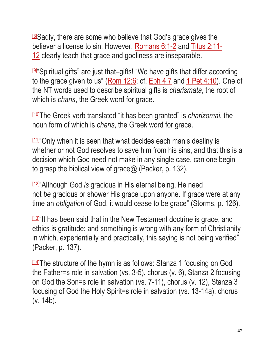[\[8\]](http://www.freesundayschoollessons.org/systematic-theology/attributes-of-god-lesson-9-god-is-gracious/#_ftnref8)Sadly, there are some who believe that God's grace gives the believer a license to sin. However, [Romans 6:1-2](https://biblia.com/bible/esv/Rom%206.1-2) and [Titus 2:11-](https://biblia.com/bible/esv/Titus%202.11-12) [12](https://biblia.com/bible/esv/Titus%202.11-12) clearly teach that grace and godliness are inseparable.

<u>ி</u> "Spiritual gifts" are just that–gifts! "We have gifts that differ according to the grace given to us" [\(Rom 12:6;](https://biblia.com/bible/esv/Rom%2012.6) cf. [Eph 4:7](https://biblia.com/bible/esv/Eph%204.7) and [1 Pet 4:10\)](https://biblia.com/bible/esv/1%20Pet%204.10). One of the NT words used to describe spiritual gifts is *charismata*, the root of which is *charis*, the Greek word for grace.

[\[10\]](http://www.freesundayschoollessons.org/systematic-theology/attributes-of-god-lesson-9-god-is-gracious/#_ftnref10)The Greek verb translated "it has been granted" is *charizomai*, the noun form of which is *charis*, the Greek word for grace.

[\[11\]](http://www.freesundayschoollessons.org/systematic-theology/attributes-of-god-lesson-9-god-is-gracious/#_ftnref11) "Only when it is seen that what decides each man's destiny is whether or not God resolves to save him from his sins, and that this is a decision which God need not make in any single case, can one begin to grasp the biblical view of grace@ (Packer, p. 132).

[\[12\]](http://www.freesundayschoollessons.org/systematic-theology/attributes-of-god-lesson-9-god-is-gracious/#_ftnref12) "Although God *is* gracious in His eternal being, He need not *be* gracious or shower His grace upon anyone. If grace were at any time an *obligation* of God, it would cease to be grace" (Storms, p. 126).

[\[13\]](http://www.freesundayschoollessons.org/systematic-theology/attributes-of-god-lesson-9-god-is-gracious/#_ftnref13)"It has been said that in the New Testament doctrine is grace, and ethics is gratitude; and something is wrong with any form of Christianity in which, experientially and practically, this saying is not being verified" (Packer, p. 137).

[\[14\]](http://www.freesundayschoollessons.org/systematic-theology/attributes-of-god-lesson-9-god-is-gracious/#_ftnref14)The structure of the hymn is as follows: Stanza 1 focusing on God the Father=s role in salvation (vs. 3-5), chorus (v. 6), Stanza 2 focusing on God the Son=s role in salvation (vs. 7-11), chorus (v. 12), Stanza 3 focusing of God the Holy Spirit=s role in salvation (vs. 13-14a), chorus (v. 14b).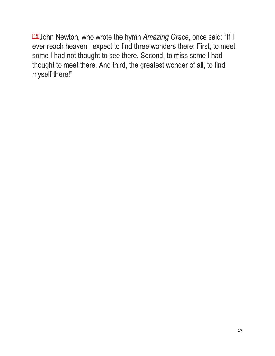[\[15\]](http://www.freesundayschoollessons.org/systematic-theology/attributes-of-god-lesson-9-god-is-gracious/#_ftnref15)John Newton, who wrote the hymn *Amazing Grace*, once said: "If I ever reach heaven I expect to find three wonders there: First, to meet some I had not thought to see there. Second, to miss some I had thought to meet there. And third, the greatest wonder of all, to find myself there!"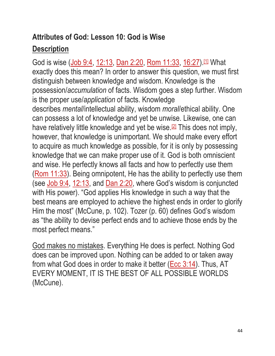# **Attributes of God: Lesson 10: God is Wise Description**

God is wise [\(Job 9:4,](https://biblia.com/bible/esv/Job%209.4) [12:13,](https://biblia.com/bible/esv/Job%2012.13) [Dan 2:20,](https://biblia.com/bible/esv/Dan%202.20) [Rom 11:33,](https://biblia.com/bible/esv/Rom%2011.33) [16:27\)](https://biblia.com/bible/esv/Rom%2016.27).<sup>[\[1\]](http://www.freesundayschoollessons.org/systematic-theology/attributes-of-god-lesson-10-god-is-wise/#_ftn1)</sup> What exactly does this mean? In order to answer this question, we must first distinguish between knowledge and wisdom. Knowledge is the possession/*accumulation* of facts. Wisdom goes a step further. Wisdom is the proper use/*application* of facts. Knowledge describes *mental*/intellectual ability, wisdom *moral*/ethical ability. One can possess a lot of knowledge and yet be unwise. Likewise, one can have relatively little knowledge and yet be wise.<sup>[\[2\]](http://www.freesundayschoollessons.org/systematic-theology/attributes-of-god-lesson-10-god-is-wise/#_ftn2)</sup> This does not imply, however, that knowledge is unimportant. We should make every effort to acquire as much knowledge as possible, for it is only by possessing knowledge that we can make proper use of it. God is both omniscient and wise. He perfectly knows all facts and how to perfectly use them [\(Rom 11:33\)](https://biblia.com/bible/esv/Rom%2011.33). Being omnipotent, He has the ability to perfectly use them (see [Job 9:4,](https://biblia.com/bible/esv/Job%209.4) [12:13,](https://biblia.com/bible/esv/Job%2012.13) and [Dan 2:20,](https://biblia.com/bible/esv/Dan%202.20) where God's wisdom is conjuncted with His power). "God applies His knowledge in such a way that the best means are employed to achieve the highest ends in order to glorify Him the most" (McCune, p. 102). Tozer (p. 60) defines God's wisdom as "the ability to devise perfect ends and to achieve those ends by the most perfect means."

God makes no mistakes. Everything He does is perfect. Nothing God does can be improved upon. Nothing can be added to or taken away from what God does in order to make it better [\(Ecc 3:14\)](https://biblia.com/bible/esv/Eccles%203.14). Thus, AT EVERY MOMENT, IT IS THE BEST OF ALL POSSIBLE WORLDS (McCune).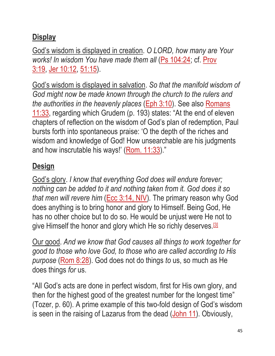# **Display**

God's wisdom is displayed in creation. *O LORD, how many are Your works! In wisdom You have made them all [\(Ps 104:24;](https://biblia.com/bible/esv/Ps%20104.24) cf. Prov.)* [3:19,](https://biblia.com/bible/esv/Prov%203.19) [Jer 10:12,](https://biblia.com/bible/esv/Jer%2010.12) [51:15\)](https://biblia.com/bible/esv/Jer%2051.15).

God's wisdom is displayed in salvation. *So that the manifold wisdom of God might now be made known through the church to the rulers and the authorities in the heavenly places* [\(Eph 3:10\)](https://biblia.com/bible/esv/Eph%203.10). See also [Romans](https://biblia.com/bible/esv/Rom%2011.33)  [11:33,](https://biblia.com/bible/esv/Rom%2011.33) regarding which Grudem (p. 193) states: "At the end of eleven chapters of reflection on the wisdom of God's plan of redemption, Paul bursts forth into spontaneous praise: 'O the depth of the riches and wisdom and knowledge of God! How unsearchable are his judgments and how inscrutable his ways!' [\(Rom. 11:33\)](https://biblia.com/bible/esv/Rom.%2011.33)."

# **Design**

God's glory. *I know that everything God does will endure forever; nothing can be added to it and nothing taken from it. God does it so that men will revere him* [\(Ecc 3:14, NIV\)](https://biblia.com/bible/niv/Eccles%203.14)*.* The primary reason why God does anything is to bring honor and glory to Himself. Being God, He has no other choice but to do so. He would be unjust were He not to give Himself the honor and glory which He so richly deserves.<sup>[\[3\]](http://www.freesundayschoollessons.org/systematic-theology/attributes-of-god-lesson-10-god-is-wise/#_ftn3)</sup>

Our good. *And we know that God causes all things to work together for good to those who love God, to those who are called according to His purpose* [\(Rom 8:28\)](https://biblia.com/bible/esv/Rom%208.28). God does not do things *to* us, so much as He does things *for* us.

"All God's acts are done in perfect wisdom, first for His own glory, and then for the highest good of the greatest number for the longest time" (Tozer, p. 60). A prime example of this two-fold design of God's wisdom is seen in the raising of Lazarus from the dead [\(John 11\)](https://biblia.com/bible/esv/John%2011). Obviously,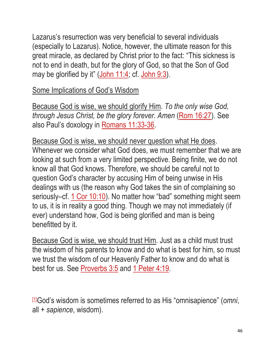Lazarus's resurrection was very beneficial to several individuals (especially to Lazarus). Notice, however, the ultimate reason for this great miracle, as declared by Christ prior to the fact: "This sickness is not to end in death, but for the glory of God, so that the Son of God may be glorified by it"  $(John 11:4; cf. John 9:3)$  $(John 11:4; cf. John 9:3)$  $(John 11:4; cf. John 9:3)$ .

Some Implications of God's Wisdom

Because God is wise, we should glorify Him. *To the only wise God, through Jesus Christ, be the glory forever. Amen* [\(Rom 16:27\)](https://biblia.com/bible/esv/Rom%2016.27). See also Paul's doxology in [Romans 11:33-36.](https://biblia.com/bible/esv/Rom%2011.33-36)

Because God is wise, we should never question what He does. Whenever we consider what God does, we must remember that we are looking at such from a very limited perspective. Being finite, we do not know all that God knows. Therefore, we should be careful not to question God's character by accusing Him of being unwise in His dealings with us (the reason why God takes the sin of complaining so seriously–cf. [1 Cor 10:10\)](https://biblia.com/bible/esv/1%20Cor%2010.10). No matter how "bad" something might seem to us, it is in reality a good thing. Though we may not immediately (if ever) understand how, God is being glorified and man is being benefitted by it.

Because God is wise, we should trust Him. Just as a child must trust the wisdom of his parents to know and do what is best for him, so must we trust the wisdom of our Heavenly Father to know and do what is best for us. See [Proverbs 3:5](https://biblia.com/bible/esv/Prov%203.5) and [1 Peter 4:19.](https://biblia.com/bible/esv/1%20Pet%204.19)

[\[1\]](http://www.freesundayschoollessons.org/systematic-theology/attributes-of-god-lesson-10-god-is-wise/#_ftnref1)God's wisdom is sometimes referred to as His "omnisapience" (*omni*, all + *sapience*, wisdom).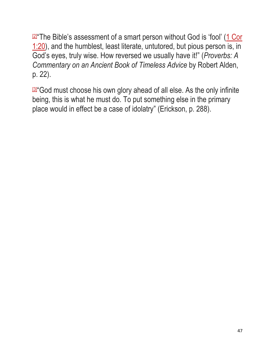**24** The Bible's assessment of a smart person without God is 'fool' (1 Cor [1:20\)](https://biblia.com/bible/esv/1%20Cor%201.20), and the humblest, least literate, untutored, but pious person is, in God's eyes, truly wise. How reversed we usually have it!" (*Proverbs: A Commentary on an Ancient Book of Timeless Advice* by Robert Alden, p. 22).

B<sup>u</sup> God must choose his own glory ahead of all else. As the only infinite being, this is what he must do. To put something else in the primary place would in effect be a case of idolatry" (Erickson, p. 288).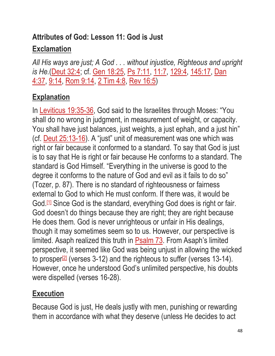# **Attributes of God: Lesson 11: God is Just Exclamation**

*All His ways are just; A God . . . without injustice, Righteous and upright is He.*[\(Deut 32:4;](https://biblia.com/bible/esv/Deut%2032.4) cf. [Gen 18:25,](https://biblia.com/bible/esv/Gen%2018.25) [Ps 7:11,](https://biblia.com/bible/esv/Ps%207.11) [11:7,](https://biblia.com/bible/esv/Ps%2011.7) [129:4,](https://biblia.com/bible/esv/Ps%20129.4) [145:17,](https://biblia.com/bible/esv/Ps%20145.17) [Dan](https://biblia.com/bible/esv/Dan%204.37)  [4:37,](https://biblia.com/bible/esv/Dan%204.37) [9:14,](https://biblia.com/bible/esv/Dan%209.14) [Rom 9:14,](https://biblia.com/bible/esv/Rom%209.14) [2 Tim 4:8,](https://biblia.com/bible/esv/2%20Tim%204.8) [Rev 16:5\)](https://biblia.com/bible/esv/Rev%2016.5)

# **Explanation**

In [Leviticus 19:35-36,](https://biblia.com/bible/esv/Lev%2019.35-36) God said to the Israelites through Moses: "You shall do no wrong in judgment, in measurement of weight, or capacity. You shall have just balances, just weights, a just ephah, and a just hin" (cf. [Deut 25:13-16\)](https://biblia.com/bible/esv/Deut%2025.13-16). A "just" unit of measurement was one which was right or fair because it conformed to a standard. To say that God is just is to say that He is right or fair because He conforms to a standard. The standard is God Himself. "Everything in the universe is good to the degree it conforms to the nature of God and evil as it fails to do so" (Tozer, p. 87). There is no standard of righteousness or fairness external to God to which He must conform. If there was, it would be God.<sup>[\[1\]](http://www.freesundayschoollessons.org/systematic-theology/attributes-of-god-lesson-11-god-is-just/#_ftn1)</sup> Since God is the standard, everything God does is right or fair. God doesn't do things because they are right; they are right because He does them. God is never unrighteous or unfair in His dealings, though it may sometimes seem so to us. However, our perspective is limited. Asaph realized this truth in [Psalm 73.](https://biblia.com/bible/esv/Ps%2073) From Asaph's limited perspective, it seemed like God was being unjust in allowing the wicked to prosper<sup>[\[2\]](http://www.freesundayschoollessons.org/systematic-theology/attributes-of-god-lesson-11-god-is-just/#_ftn2)</sup> (verses 3-12) and the righteous to suffer (verses 13-14). However, once he understood God's unlimited perspective, his doubts were dispelled (verses 16-28).

### **Execution**

Because God is just, He deals justly with men, punishing or rewarding them in accordance with what they deserve (unless He decides to act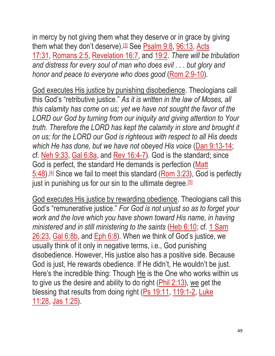in mercy by not giving them what they deserve or in grace by giving them what they don't deserve).<sup>[\[3\]](http://www.freesundayschoollessons.org/systematic-theology/attributes-of-god-lesson-11-god-is-just/#_ftn3)</sup> See [Psalm 9:8,](https://biblia.com/bible/esv/Ps%209.8) [96:13,](https://biblia.com/bible/esv/Psalm%2096.13) Acts [17:31,](https://biblia.com/bible/esv/Acts%2017.31) [Romans 2:5,](https://biblia.com/bible/esv/Rom%202.5) [Revelation 16:7,](https://biblia.com/bible/esv/Rev%2016.7) and [19:2.](https://biblia.com/bible/esv/Revelation%2019.2) *There will be tribulation and distress for every soul of man who does evil . . . but glory and honor and peace to everyone who does good [\(Rom 2:9-10\)](https://biblia.com/bible/esv/Rom%202.9-10).* 

God executes His justice by punishing disobedience. Theologians call this God's "retributive justice." *As it is written in the law of Moses, all this calamity has come on us; yet we have not sought the favor of the LORD our God by turning from our iniquity and giving attention to Your truth. Therefore the LORD has kept the calamity in store and brought it on us; for the LORD our God is righteous with respect to all His deeds which He has done, but we have not obeyed His voice* [\(Dan 9:13-14;](https://biblia.com/bible/esv/Dan%209.13-14) cf. [Neh 9:33,](https://biblia.com/bible/esv/Neh%209.33) [Gal 6:8a,](https://biblia.com/bible/esv/Gal%206.8a) and [Rev 16:4-7\)](https://biblia.com/bible/esv/Rev%2016.4-7)*.* God is the standard; since God is perfect, the standard He demands is perfection (Matt  $5:48$ ).<sup>[\[4\]](http://www.freesundayschoollessons.org/systematic-theology/attributes-of-god-lesson-11-god-is-just/#_ftn4)</sup> Since we fail to meet this standard (Rom  $3:23$ ), God is perfectly just in punishing us for our sin to the ultimate degree.  $5\overline{5}$ 

God executes His justice by rewarding obedience. Theologians call this God's "remunerative justice." *For God is not unjust so as to forget your work and the love which you have shown toward His name, in having ministered and in still ministering to the saints* [\(Heb 6:10;](https://biblia.com/bible/esv/Heb%206.10) cf. [1 Sam](https://biblia.com/bible/esv/1%20Sam%2026.23)  [26:23,](https://biblia.com/bible/esv/1%20Sam%2026.23) [Gal 6:8b,](https://biblia.com/bible/esv/Gal%206.8b) and [Eph 6:8\)](https://biblia.com/bible/esv/Eph%206.8)*.* When we think of God's justice, we usually think of it only in negative terms, i.e., God punishing disobedience. However, His justice also has a positive side. Because God is just, He rewards obedience. If He didn't, He wouldn't be just. Here's the incredible thing: Though He is the One who works within us to give us the desire and ability to do right  $(Phi 2:13)$ , we get the blessing that results from doing right [\(Ps 19:11,](https://biblia.com/bible/esv/Ps%2019.11) [119:1-2,](https://biblia.com/bible/esv/Ps%20119.1-2) Luke [11:28,](https://biblia.com/bible/esv/Luke%2011.28) [Jas 1:25\)](https://biblia.com/bible/esv/James%201.25).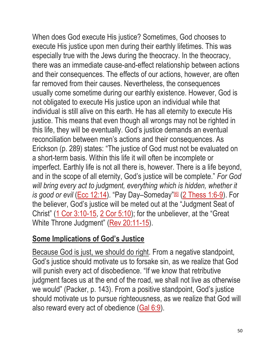When does God execute His justice? Sometimes, God chooses to execute His justice upon men during their earthly lifetimes. This was especially true with the Jews during the theocracy. In the theocracy, there was an immediate cause-and-effect relationship between actions and their consequences. The effects of our actions, however, are often far removed from their causes. Nevertheless, the consequences usually come sometime during our earthly existence. However, God is not obligated to execute His justice upon an individual while that individual is still alive on this earth. He has all eternity to execute His justice. This means that even though all wrongs may not be righted in this life, they will be eventually. God's justice demands an eventual reconciliation between men's actions and their consequences. As Erickson (p. 289) states: "The justice of God must not be evaluated on a short-term basis. Within this life it will often be incomplete or imperfect. Earthly life is not all there is, however. There is a life beyond, and in the scope of all eternity, God's justice will be complete." *For God*  will bring every act to judgment, everything which is hidden, whether it *is good or evil (<u>Ecc 12:14</u>). "Pay Day–Someday"ם* (<u>2 Thess 1:6-9</u>). For the believer, God's justice will be meted out at the "Judgment Seat of Christ" [\(1 Cor 3:10-15,](https://biblia.com/bible/esv/1%20Cor%203.10-15) [2 Cor 5:10\)](https://biblia.com/bible/esv/2%20Cor%205.10); for the unbeliever, at the "Great" White Throne Judgment" [\(Rev 20:11-15\)](https://biblia.com/bible/esv/Rev%2020.11-15).

### **Some Implications of God's Justice**

Because God is just, we should do right. From a negative standpoint, God's justice should motivate us to forsake sin, as we realize that God will punish every act of disobedience. "If we know that retributive judgment faces us at the end of the road, we shall not live as otherwise we would" (Packer, p. 143). From a positive standpoint, God's justice should motivate us to pursue righteousness, as we realize that God will also reward every act of obedience [\(Gal 6:9\)](https://biblia.com/bible/esv/Gal%206.9).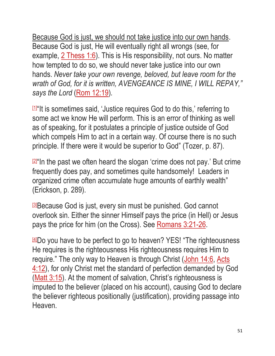Because God is just, we should not take justice into our own hands. Because God is just, He will eventually right all wrongs (see, for example, [2 Thess 1:6\)](https://biblia.com/bible/esv/2%20Thess%201.6). This is His responsibility, not ours. No matter how tempted to do so, we should never take justice into our own hands. *Never take your own revenge, beloved, but leave room for the wrath of God, for it is written, AVENGEANCE IS MINE, I WILL REPAY," says the Lord* [\(Rom 12:19\)](https://biblia.com/bible/esv/Rom%2012.19)*.*

<del>[\[1\]](http://www.freesundayschoollessons.org/systematic-theology/attributes-of-god-lesson-11-god-is-just/#_ftnref1)</del>"It is sometimes said, 'Justice requires God to do this,' referring to some act we know He will perform. This is an error of thinking as well as of speaking, for it postulates a principle of justice outside of God which compels Him to act in a certain way. Of course there is no such principle. If there were it would be superior to God" (Tozer, p. 87).

**<u>[2</u>]**"In the past we often heard the slogan 'crime does not pay.' But crime frequently does pay, and sometimes quite handsomely! Leaders in organized crime often accumulate huge amounts of earthly wealth" (Erickson, p. 289).

Ballie God is just, every sin must be punished. God cannot overlook sin. Either the sinner Himself pays the price (in Hell) or Jesus pays the price for him (on the Cross). See [Romans 3:21-26.](https://biblia.com/bible/esv/Rom%203.21-26)

[\[4\]](http://www.freesundayschoollessons.org/systematic-theology/attributes-of-god-lesson-11-god-is-just/#_ftnref4)Do you have to be perfect to go to heaven? YES! "The righteousness He requires is the righteousness His righteousness requires Him to require." The only way to Heaven is through Christ [\(John 14:6,](https://biblia.com/bible/esv/John%2014.6) [Acts](https://biblia.com/bible/esv/Acts%204.12)  [4:12\)](https://biblia.com/bible/esv/Acts%204.12), for only Christ met the standard of perfection demanded by God [\(Matt 3:15\)](https://biblia.com/bible/esv/Matt%203.15). At the moment of salvation, Christ's righteousness is imputed to the believer (placed on his account), causing God to declare the believer righteous positionally (justification), providing passage into Heaven.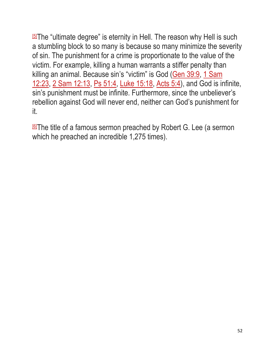[\[5\]](http://www.freesundayschoollessons.org/systematic-theology/attributes-of-god-lesson-11-god-is-just/#_ftnref5)The "ultimate degree" is eternity in Hell. The reason why Hell is such a stumbling block to so many is because so many minimize the severity of sin. The punishment for a crime is proportionate to the value of the victim. For example, killing a human warrants a stiffer penalty than killing an animal. Because sin's "victim" is God [\(Gen 39:9,](https://biblia.com/bible/esv/Gen%2039.9) [1 Sam](https://biblia.com/bible/esv/1%20Sam%2012.23)  [12:23,](https://biblia.com/bible/esv/1%20Sam%2012.23) [2 Sam 12:13,](https://biblia.com/bible/esv/2%20Sam%2012.13) [Ps 51:4,](https://biblia.com/bible/esv/Ps%2051.4) [Luke 15:18,](https://biblia.com/bible/esv/Luke%2015.18) [Acts 5:4\)](https://biblia.com/bible/esv/Acts%205.4), and God is infinite, sin's punishment must be infinite. Furthermore, since the unbeliever's rebellion against God will never end, neither can God's punishment for it.

**ELThe title of a famous sermon preached by Robert G. Lee (a sermon** which he preached an incredible 1,275 times).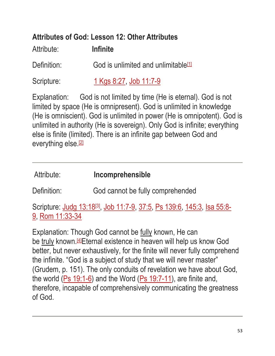# **Attributes of God: Lesson 12: Other Attributes**

Attribute: **Infinite** Definition: God is unlimited and unlimitable  $[1]$ 

Scripture: [1 Kgs 8:27,](https://biblia.com/bible/esv/1%20Kings%208.27) [Job 11:7-9](https://biblia.com/bible/esv/Job%2011.7-9)

Explanation: God is not limited by time (He is eternal). God is not limited by space (He is omnipresent). God is unlimited in knowledge (He is omniscient). God is unlimited in power (He is omnipotent). God is unlimited in authority (He is sovereign). Only God is infinite; everything else is finite (limited). There is an infinite gap between God and everything else.<sup>[\[2\]](http://www.freesundayschoollessons.org/systematic-theology/attributes-of-god-lesson-12-other-attributes/#_ftn2)</sup>

Definition: God cannot be fully comprehended

Scripture: <u>Judg 13:18⑶3, [Job 11:7-9,](https://biblia.com/bible/esv/Job%2011.7-9) [37:5,](https://biblia.com/bible/esv/Job%2037.5) [Ps 139:6,](https://biblia.com/bible/esv/Ps%20139.6) [145:3,](https://biblia.com/bible/esv/Ps%20145.3) [Isa 55:8-](https://biblia.com/bible/esv/Isa%2055.8-9)</u> [9,](https://biblia.com/bible/esv/Isa%2055.8-9) [Rom 11:33-34](https://biblia.com/bible/esv/Rom%2011.33-34)

Explanation: Though God cannot be fully known, He can be truly known.<sup>[\[4\]](http://www.freesundayschoollessons.org/systematic-theology/attributes-of-god-lesson-12-other-attributes/#_ftn4)</sup>Eternal existence in heaven will help us know God better, but never exhaustively, for the finite will never fully comprehend the infinite. "God is a subject of study that we will never master" (Grudem, p. 151). The only conduits of revelation we have about God, the world [\(Ps 19:1-6\)](https://biblia.com/bible/esv/Ps%2019.1-6) and the Word [\(Ps 19:7-11\)](https://biblia.com/bible/esv/Ps%2019.7-11), are finite and, therefore, incapable of comprehensively communicating the greatness of God.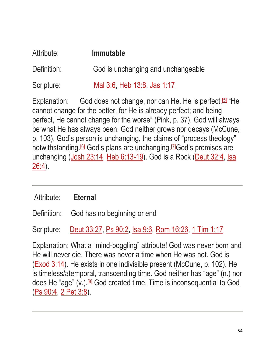| Attribute:  | <b>Immutable</b>                   |
|-------------|------------------------------------|
| Definition: | God is unchanging and unchangeable |
| Scripture:  | Mal 3:6, Heb 13:8, Jas 1:17        |

Explanation: God does not change, nor can He. He is perfect.<sup>[\[5\]](http://www.freesundayschoollessons.org/systematic-theology/attributes-of-god-lesson-12-other-attributes/#_ftn5)</sup> "He cannot change for the better, for He is already perfect; and being perfect, He cannot change for the worse" (Pink, p. 37). God will always be what He has always been. God neither grows nor decays (McCune, p. 103). God's person is unchanging, the claims of "process theology" notwithstanding.[\[6\]](http://www.freesundayschoollessons.org/systematic-theology/attributes-of-god-lesson-12-other-attributes/#_ftn6) God's plans are unchanging.[\[7\]](http://www.freesundayschoollessons.org/systematic-theology/attributes-of-god-lesson-12-other-attributes/#_ftn7)God's promises are unchanging [\(Josh 23:14,](https://biblia.com/bible/esv/Josh%2023.14) [Heb 6:13-19\)](https://biblia.com/bible/esv/Heb%206.13-19). God is a Rock [\(Deut 32:4,](https://biblia.com/bible/esv/Deut%2032.4) Isa  $26:4$ ).

#### Attribute: **Eternal**

Definition: God has no beginning or end

Scripture: [Deut 33:27,](https://biblia.com/bible/esv/Deut%2033.27) [Ps 90:2,](https://biblia.com/bible/esv/Ps%2090.2) [Isa 9:6,](https://biblia.com/bible/esv/Isa%209.6) [Rom 16:26,](https://biblia.com/bible/esv/Rom%2016.26) [1 Tim 1:17](https://biblia.com/bible/esv/1%20Tim%201.17)

Explanation: What a "mind-boggling" attribute! God was never born and He will never die. There was never a time when He was not. God is [\(Exod 3:14\)](https://biblia.com/bible/esv/Exod%203.14). He exists in one indivisible present (McCune, p. 102). He is timeless/atemporal, transcending time. God neither has "age" (n.) nor does He "age" (v.).<sup>[\[8\]](http://www.freesundayschoollessons.org/systematic-theology/attributes-of-god-lesson-12-other-attributes/#_ftn8)</sup> God created time. Time is inconsequential to God [\(Ps 90:4,](https://biblia.com/bible/esv/Ps%2090.4) [2 Pet 3:8\)](https://biblia.com/bible/esv/2%20Pet%203.8).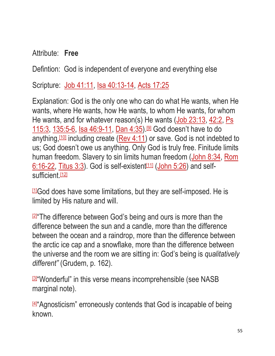Attribute: **Free**

Defintion: God is independent of everyone and everything else

Scripture: [Job 41:11,](https://biblia.com/bible/esv/Job%2041.11) [Isa 40:13-14,](https://biblia.com/bible/esv/Isa%2040.13-14) [Acts 17:25](https://biblia.com/bible/esv/Acts%2017.25)

Explanation: God is the only one who can do what He wants, when He wants, where He wants, how He wants, to whom He wants, for whom He wants, and for whatever reason(s) He wants [\(Job 23:13,](https://biblia.com/bible/esv/Job%2023.13) [42:2,](https://biblia.com/bible/esv/Job%2042.2) [Ps](https://biblia.com/bible/esv/Ps%20115.3)  [115:3,](https://biblia.com/bible/esv/Ps%20115.3) [135:5-6,](https://biblia.com/bible/esv/Ps%20135.5-6) [Isa 46:9-11,](https://biblia.com/bible/esv/Isa%2046.9-11) [Dan 4:35\)](https://biblia.com/bible/esv/Dan%204.35).<sup>[\[9\]](http://www.freesundayschoollessons.org/systematic-theology/attributes-of-god-lesson-12-other-attributes/#_ftn9)</sup> God doesn't have to do anything,  $10$  including create [\(Rev 4:11\)](https://biblia.com/bible/esv/Rev%204.11) or save. God is not indebted to us; God doesn't owe us anything. Only God is truly free. Finitude limits human freedom. Slavery to sin limits human freedom [\(John 8:34,](https://biblia.com/bible/esv/John%208.34) Rom  $6:16-22$ , [Titus 3:3\)](https://biblia.com/bible/esv/Titus%203.3). God is self-existent<sup>[\[11\]](http://www.freesundayschoollessons.org/systematic-theology/attributes-of-god-lesson-12-other-attributes/#_ftn11)</sup> [\(John 5:26\)](https://biblia.com/bible/esv/John%205.26) and self-sufficient.<sup>[\[12\]](http://www.freesundayschoollessons.org/systematic-theology/attributes-of-god-lesson-12-other-attributes/#_ftn12)</sup>

 $11$ God does have some limitations, but they are self-imposed. He is limited by His nature and will.

**24** The difference between God's being and ours is more than the difference between the sun and a candle, more than the difference between the ocean and a raindrop, more than the difference between the arctic ice cap and a snowflake, more than the difference between the universe and the room we are sitting in: God's being is *qualitatively different"* (Grudem, p. 162).

**B**<sup>"</sup>Wonderful" in this verse means incomprehensible (see NASB marginal note).

**44** Agnosticism" erroneously contends that God is incapable of being known.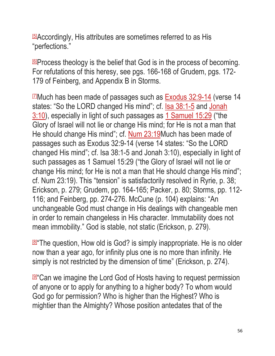[\[5\]](http://www.freesundayschoollessons.org/systematic-theology/attributes-of-god-lesson-12-other-attributes/#_ftnref5)Accordingly, His attributes are sometimes referred to as His "perfections."

[\[6\]](http://www.freesundayschoollessons.org/systematic-theology/attributes-of-god-lesson-12-other-attributes/#_ftnref6)Process theology is the belief that God is in the process of becoming. For refutations of this heresy, see pgs. 166-168 of Grudem, pgs. 172- 179 of Feinberg, and Appendix B in Storms.

 $\textdegree$  Much has been made of passages such as [Exodus 32:9-14](https://biblia.com/bible/esv/Exod%2032.9-14) (verse 14 states: "So the LORD changed His mind"; cf. [Isa 38:1-5](https://biblia.com/bible/esv/Isa%2038.1-5) and [Jonah](https://biblia.com/bible/esv/Jonah%203.10)  [3:10\)](https://biblia.com/bible/esv/Jonah%203.10), especially in light of such passages as [1 Samuel 15:29](https://biblia.com/bible/esv/1%20Sam%2015.29) ("the Glory of Israel will not lie or change His mind; for He is not a man that He should change His mind"; cf. [Num 23:19M](https://biblia.com/bible/esv/Num%2023.19)uch has been made of passages such as Exodus 32:9-14 (verse 14 states: "So the LORD changed His mind"; cf. Isa 38:1-5 and Jonah 3:10), especially in light of such passages as 1 Samuel 15:29 ("the Glory of Israel will not lie or change His mind; for He is not a man that He should change His mind"; cf. Num 23:19). This "tension" is satisfactorily resolved in Ryrie, p. 38; Erickson, p. 279; Grudem, pp. 164-165; Packer, p. 80; Storms, pp. 112- 116; and Feinberg, pp. 274-276. McCune (p. 104) explains: "An unchangeable God must change in His dealings with changeable men in order to remain changeless in His character. Immutability does not mean immobility." God is stable, not static (Erickson, p. 279).

**B**<sup>"</sup>The question, How old is God? is simply inappropriate. He is no older now than a year ago, for infinity plus one is no more than infinity. He simply is not restricted by the dimension of time" (Erickson, p. 274).

**<u>n</u>** Can we imagine the Lord God of Hosts having to request permission of anyone or to apply for anything to a higher body? To whom would God go for permission? Who is higher than the Highest? Who is mightier than the Almighty? Whose position antedates that of the